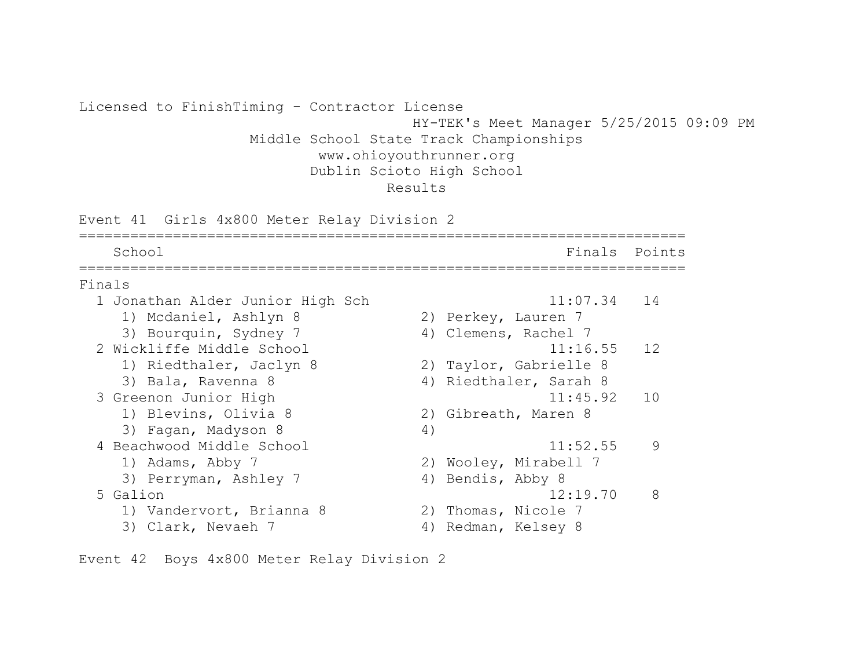Licensed to FinishTiming - Contractor License HY-TEK's Meet Manager 5/25/2015 09:09 PM Middle School State Track Championships www.ohioyouthrunner.org Dublin Scioto High School Results Event 41 Girls 4x800 Meter Relay Division 2 ======================================================================= School **Finals** Points ======================================================================= Finals 1 Jonathan Alder Junior High Sch 11:07.34 14 1) Mcdaniel, Ashlyn 8 2) Perkey, Lauren 7 3) Bourquin, Sydney 7 (4) Clemens, Rachel 7 2 Wickliffe Middle School 2 2 2 11:16.55 12 1) Riedthaler, Jaclyn 8 2) Taylor, Gabrielle 8 3) Bala, Ravenna 8 4) Riedthaler, Sarah 8 3 Greenon Junior High 11:45.92 10 1) Blevins, Olivia 8 2) Gibreath, Maren 8 3) Fagan, Madyson 8 (4) 4 Beachwood Middle School 11:52.55 9 1) Adams, Abby 7 2) Wooley, Mirabell 7 3) Perryman, Ashley 7 (4) Bendis, Abby 8 5 Galion 12:19.70 8 1) Vandervort, Brianna 8 2) Thomas, Nicole 7 3) Clark, Nevaeh 7 (4) Redman, Kelsey 8

Event 42 Boys 4x800 Meter Relay Division 2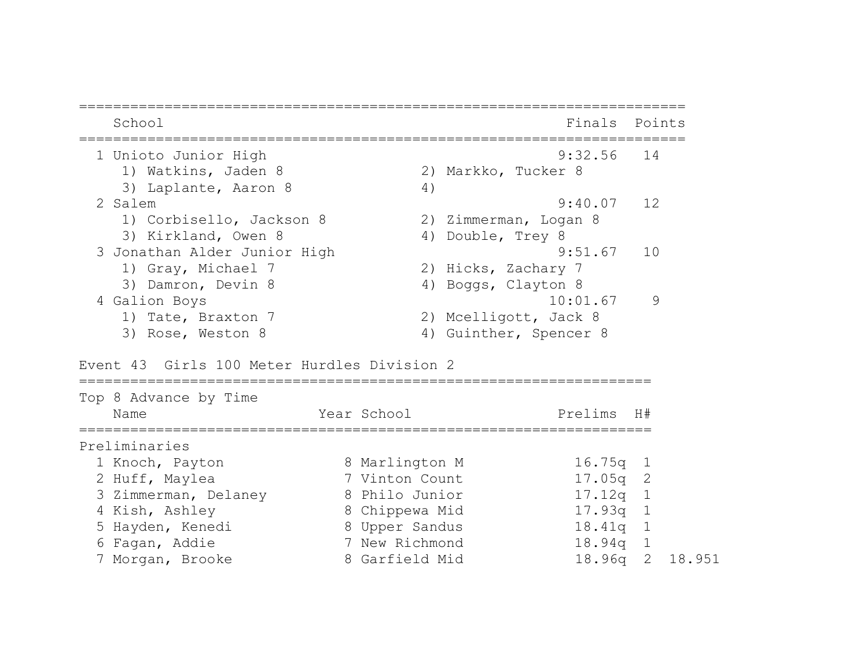| School                                      |    | Finals                 | Points |
|---------------------------------------------|----|------------------------|--------|
| 1 Unioto Junior High                        |    | $9:32.56$ 14           |        |
| 1) Watkins, Jaden 8                         |    | 2) Markko, Tucker 8    |        |
| 3) Laplante, Aaron 8                        | 4) |                        |        |
| 2 Salem                                     |    | 9:40.07                | 12     |
| 1) Corbisello, Jackson 8                    |    | 2) Zimmerman, Logan 8  |        |
| 3) Kirkland, Owen 8                         |    | 4) Double, Trey 8      |        |
| 3 Jonathan Alder Junior High                |    | 9:51.67                | 10     |
| 1) Gray, Michael 7                          |    | 2) Hicks, Zachary 7    |        |
| 3) Damron, Devin 8                          |    | 4) Boggs, Clayton 8    |        |
| 4 Galion Boys                               |    | 10:01.67               | 9      |
| 1) Tate, Braxton 7                          |    | 2) Mcelligott, Jack 8  |        |
| 3) Rose, Weston 8                           |    | 4) Guinther, Spencer 8 |        |
| Event 43 Girls 100 Meter Hurdles Division 2 |    |                        |        |
| Top 8 Advance by Time                       |    |                        |        |

| Name                 | Year School    | Prelims H#      |  |
|----------------------|----------------|-----------------|--|
| Preliminaries        |                |                 |  |
| 1 Knoch, Payton      | 8 Marlington M | $16.75q$ 1      |  |
| 2 Huff, Maylea       | 7 Vinton Count | $17.05q$ 2      |  |
| 3 Zimmerman, Delaney | 8 Philo Junior | $17.12q$ 1      |  |
| 4 Kish, Ashley       | 8 Chippewa Mid | $17.93q$ 1      |  |
| 5 Hayden, Kenedi     | 8 Upper Sandus | $18.41q$ 1      |  |
| 6 Fagan, Addie       | 7 New Richmond | $18.94q$ 1      |  |
| 7 Morgan, Brooke     | 8 Garfield Mid | 18.96q 2 18.951 |  |
|                      |                |                 |  |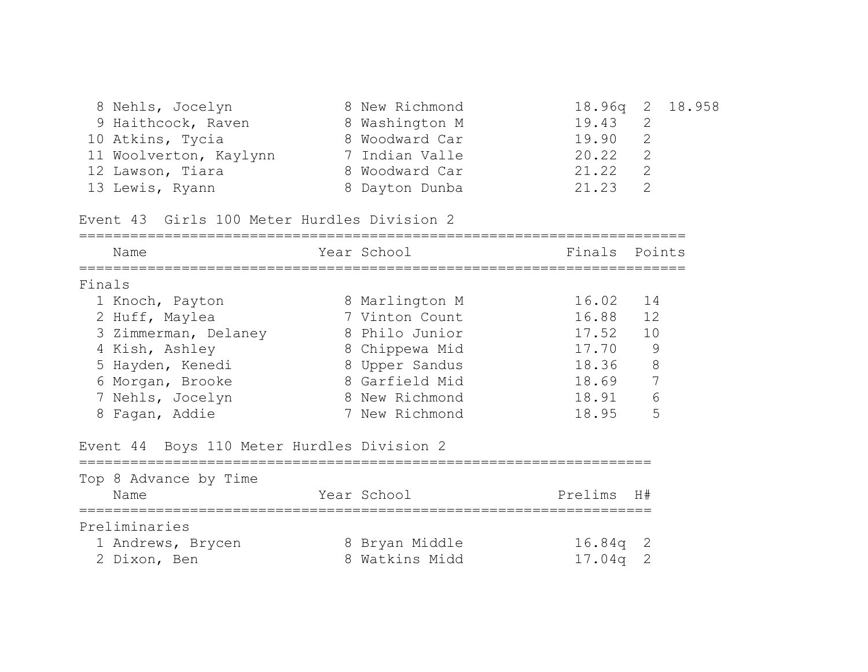| 8 Nehls, Jocelyn       | 8 New Richmond | 18.96q 2 18.958 |  |
|------------------------|----------------|-----------------|--|
| 9 Haithcock, Raven     | 8 Washington M | 19.43 2         |  |
| 10 Atkins, Tycia       | 8 Woodward Car | 19.90 2         |  |
| 11 Woolverton, Kaylynn | 7 Indian Valle | 20.22           |  |
| 12 Lawson, Tiara       | 8 Woodward Car | 21.22           |  |
| 13 Lewis, Ryann        | 8 Dayton Dunba | 21.23 2         |  |

Event 43 Girls 100 Meter Hurdles Division 2

|        | Name                                       | Year School    | Finals     | Points |
|--------|--------------------------------------------|----------------|------------|--------|
| Finals |                                            |                |            |        |
|        | 1 Knoch, Payton                            | 8 Marlington M | 16.02 14   |        |
|        | 2 Huff, Maylea                             | 7 Vinton Count | 16.88      | 12     |
|        | 3 Zimmerman, Delaney                       | 8 Philo Junior | 17.52      | 10     |
|        | 4 Kish, Ashley                             | 8 Chippewa Mid | 17.70      | 9      |
|        | 5 Hayden, Kenedi                           | 8 Upper Sandus | 18.36      | 8      |
|        | 6 Morgan, Brooke                           | 8 Garfield Mid | 18.69      | 7      |
|        | 7 Nehls, Jocelyn                           | 8 New Richmond | 18.91      | 6      |
|        | 8 Fagan, Addie                             | 7 New Richmond | 18.95      | 5      |
|        | Event 44 Boys 110 Meter Hurdles Division 2 |                |            |        |
|        | Top 8 Advance by Time                      |                |            |        |
|        | Name                                       | Year School    | Prelims H# |        |
|        | Preliminaries                              |                |            |        |
|        | 1 Andrews, Brycen                          | 8 Bryan Middle | 16.84q     | 2      |
|        | 2 Dixon, Ben                               | 8 Watkins Midd | 17.04a     | 2      |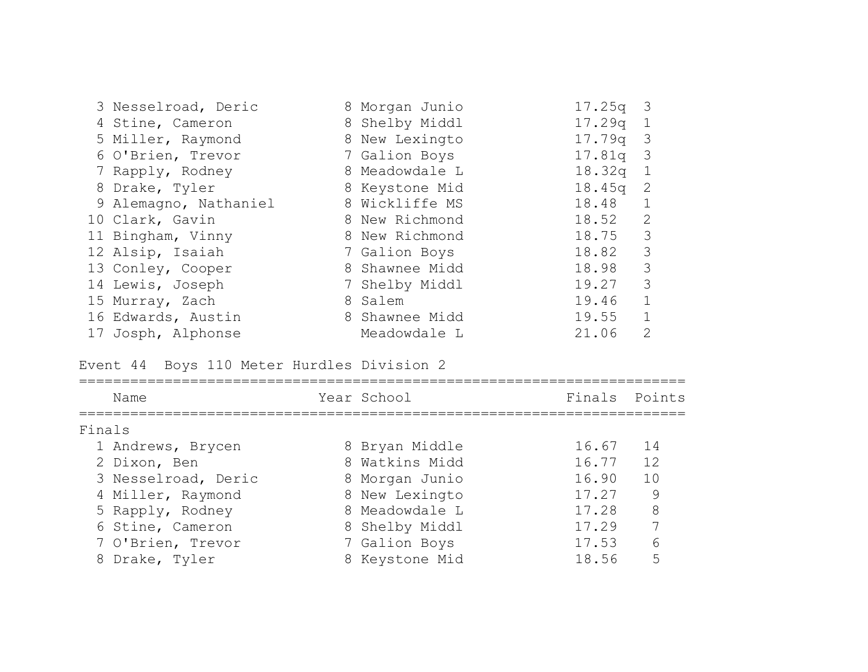| 3 Nesselroad, Deric   | 8 Morgan Junio | $17.25q$ 3 |                |
|-----------------------|----------------|------------|----------------|
| 4 Stine, Cameron      | 8 Shelby Middl | 17.29q     | $\overline{1}$ |
| 5 Miller, Raymond     | 8 New Lexingto | $17.79q$ 3 |                |
| 6 O'Brien, Trevor     | 7 Galion Boys  | $17.81q$ 3 |                |
| 7 Rapply, Rodney      | 8 Meadowdale L | 18.32q     | $\overline{1}$ |
| 8 Drake, Tyler        | 8 Keystone Mid | 18.45q     | -2             |
| 9 Alemagno, Nathaniel | 8 Wickliffe MS | 18.48      | $\mathbf{1}$   |
| 10 Clark, Gavin       | 8 New Richmond | 18.52      | 2              |
| 11 Bingham, Vinny     | 8 New Richmond | 18.75      | 3              |
| 12 Alsip, Isaiah      | 7 Galion Boys  | 18.82 3    |                |
| 13 Conley, Cooper     | 8 Shawnee Midd | 18.98      | 3              |
| 14 Lewis, Joseph      | 7 Shelby Middl | 19.27      | 3              |
| 15 Murray, Zach       | 8 Salem        | 19.46      | $\mathbf{1}$   |
| 16 Edwards, Austin    | 8 Shawnee Midd | 19.55      | $\mathbf{1}$   |
| 17 Josph, Alphonse    | Meadowdale L   | 21.06      | 2              |

Event 44 Boys 110 Meter Hurdles Division 2

|        | Name                | Year School    | Finals Points |    |
|--------|---------------------|----------------|---------------|----|
| Finals |                     |                |               |    |
|        | 1 Andrews, Brycen   | 8 Bryan Middle | 16.67         | 14 |
|        | 2 Dixon, Ben        | 8 Watkins Midd | 16.77         | 12 |
|        | 3 Nesselroad, Deric | 8 Morgan Junio | 16.90         | 10 |
|        | 4 Miller, Raymond   | 8 New Lexingto | 17.27         | 9  |
|        | 5 Rapply, Rodney    | 8 Meadowdale L | 17.28         | 8  |
|        | 6 Stine, Cameron    | 8 Shelby Middl | 17.29         | 7  |
|        | 7 O'Brien, Trevor   | 7 Galion Boys  | 17.53         | 6  |
|        | 8 Drake, Tyler      | 8 Keystone Mid | 18.56         |    |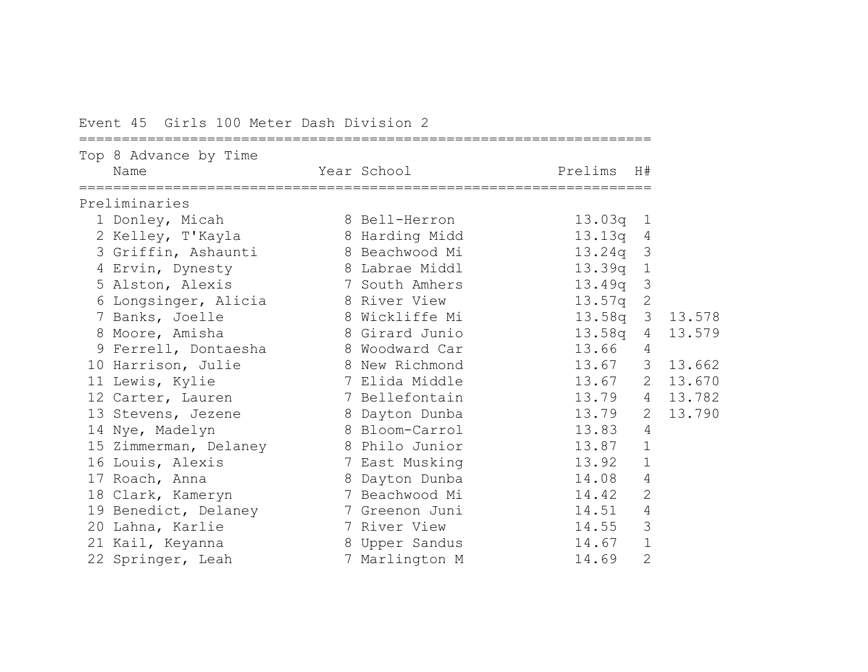Event 45 Girls 100 Meter Dash Division 2

|   | Top 8 Advance by Time<br>Name       | Year School    | Prelims    | H#             |        |
|---|-------------------------------------|----------------|------------|----------------|--------|
|   | Preliminaries                       |                |            |                |        |
|   | 1 Donley, Micah                     | 8 Bell-Herron  | 13.03q 1   |                |        |
|   | 2 Kelley, T'Kayla                   | 8 Harding Midd | 13.13q     | 4              |        |
| 3 | Griffin, Ashaunti                   | 8 Beachwood Mi | 13.24q     | 3              |        |
|   | 4 Ervin, Dynesty                    | 8 Labrae Middl | 13.39q 1   |                |        |
|   | 5 Alston, Alexis                    | 7 South Amhers | 13.49a     | 3              |        |
| 6 | Longsinger, Alicia and 8 River View |                | 13.57q     | $\mathbf{2}$   |        |
|   | 7 Banks, Joelle                     | 8 Wickliffe Mi | $13.58q$ 3 |                | 13.578 |
|   | 8 Moore, Amisha                     | 8 Girard Junio | 13.58q     | $\overline{4}$ | 13.579 |
|   | 9 Ferrell, Dontaesha                | 8 Woodward Car | 13.66      | 4              |        |
|   | 10 Harrison, Julie                  | 8 New Richmond | 13.67 3    |                | 13.662 |
|   | 11 Lewis, Kylie                     | 7 Elida Middle | 13.67 2    |                | 13.670 |
|   | 12 Carter, Lauren                   | 7 Bellefontain | 13.79 4    |                | 13.782 |
|   | 13 Stevens, Jezene                  | 8 Dayton Dunba | 13.79      | 2              | 13.790 |
|   | 14 Nye, Madelyn                     | 8 Bloom-Carrol | 13.83      | $\overline{4}$ |        |
|   | 15 Zimmerman, Delaney               | 8 Philo Junior | 13.87      | $\mathbf 1$    |        |
|   | 16 Louis, Alexis                    | 7 East Musking | 13.92      | $\mathbf{1}$   |        |
|   | 17 Roach, Anna                      | 8 Dayton Dunba | 14.08      | 4              |        |
|   | 18 Clark, Kameryn                   | 7 Beachwood Mi | 14.42      | $\overline{2}$ |        |
|   | 19 Benedict, Delaney                | 7 Greenon Juni | 14.51      | 4              |        |
|   | 20 Lahna, Karlie                    | 7 River View   | 14.55      | 3              |        |
|   | 21 Kail, Keyanna                    | 8 Upper Sandus | 14.67      | $\mathbf{1}$   |        |
|   | 22 Springer, Leah                   | 7 Marlington M | 14.69      | $\mathbf{2}$   |        |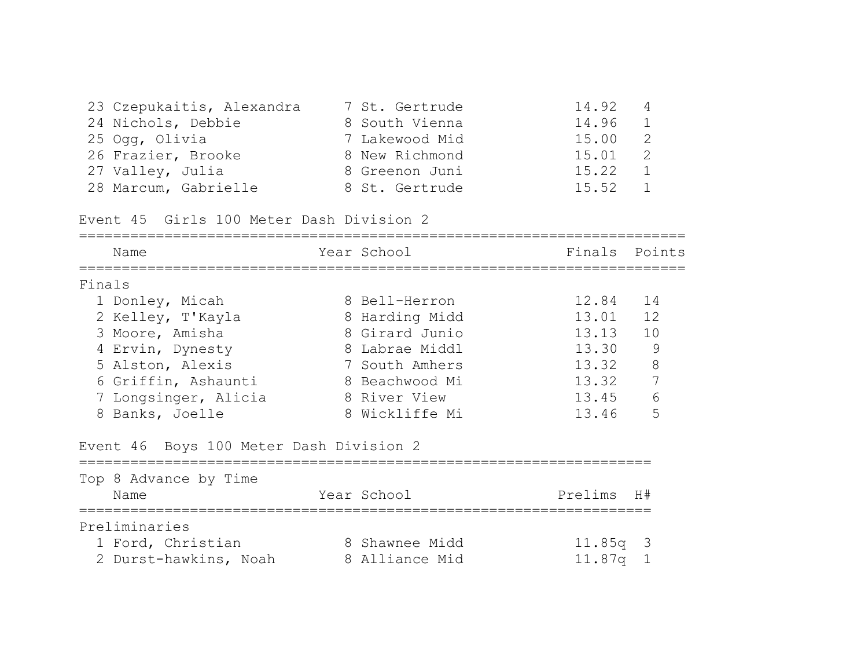| 23 Czepukaitis, Alexandra | 7 St. Gertrude | 14.92   | $\overline{4}$ |
|---------------------------|----------------|---------|----------------|
| 24 Nichols, Debbie        | 8 South Vienna | 14.96 1 |                |
| 25 Ogg, Olivia            | 7 Lakewood Mid | 15.00   | $\overline{2}$ |
| 26 Frazier, Brooke        | 8 New Richmond | 15.01   | $\overline{2}$ |
| 27 Valley, Julia          | 8 Greenon Juni | 15.22   | $\overline{1}$ |
| 28 Marcum, Gabrielle      | 8 St. Gertrude | 15.52   | $\overline{1}$ |

Event 45 Girls 100 Meter Dash Division 2

| Name                                    | Year School    | Finals  | Points       |
|-----------------------------------------|----------------|---------|--------------|
| Finals                                  |                |         |              |
| 1 Donley, Micah                         | 8 Bell-Herron  | 12.84   | 14           |
| 2 Kelley, T'Kayla                       | 8 Harding Midd | 13.01   | 12           |
| 3 Moore, Amisha                         | 8 Girard Junio | 13.13   | 10           |
| 4 Ervin, Dynesty                        | 8 Labrae Middl | 13.30   | 9            |
| 5 Alston, Alexis                        | 7 South Amhers | 13.32   | 8            |
| 6 Griffin, Ashaunti                     | 8 Beachwood Mi | 13.32   | 7            |
| 7 Longsinger, Alicia                    | 8 River View   | 13.45   | 6            |
| 8 Banks, Joelle                         | 8 Wickliffe Mi | 13.46   | 5            |
| Event 46 Boys 100 Meter Dash Division 2 |                |         |              |
| Top 8 Advance by Time                   |                |         |              |
| Name                                    | Year School    | Prelims | H#           |
| Preliminaries                           |                |         |              |
| 1 Ford, Christian                       | 8 Shawnee Midd | 11.85q  | -3           |
| 2 Durst-hawkins, Noah                   | 8 Alliance Mid | 11.87q  | $\mathbf{1}$ |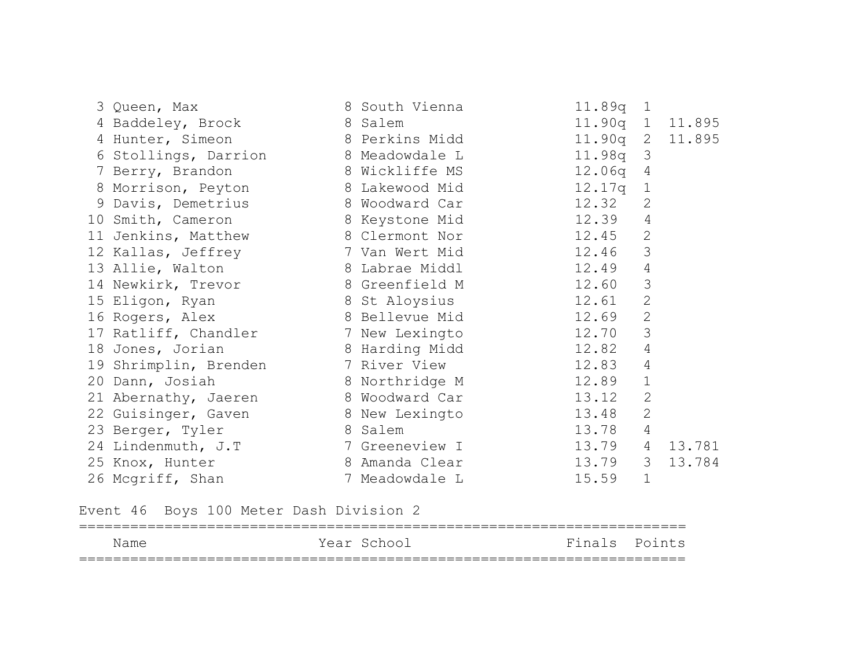|                                                           | 3 Queen, Max 6 8 South Vienna              | 11.89q 1                  |
|-----------------------------------------------------------|--------------------------------------------|---------------------------|
| 4 Baddeley, Brock 8 Salem                                 |                                            | 11.90q 1 11.895           |
|                                                           | 4 Hunter, Simeon 8 Perkins Midd            | 11.90q 2 11.895           |
|                                                           | 6 Stollings, Darrion 8 Meadowdale L        | 11.98q 3                  |
|                                                           | 7 Berry, Brandon 8 Wickliffe MS 12.06q 4   |                           |
|                                                           | 8 Morrison, Peyton 8 Lakewood Mid 12.17q 1 |                           |
|                                                           | 9 Davis, Demetrius 8 Woodward Car 12.32 2  |                           |
|                                                           | 10 Smith, Cameron 8 Keystone Mid 12.39 4   |                           |
|                                                           | 11 Jenkins, Matthew 8 Clermont Nor 12.45 2 |                           |
|                                                           | 12 Kallas, Jeffrey 7 Van Wert Mid 12.46    | 3                         |
|                                                           | 13 Allie, Walton 8 Labrae Middl 12.49      | $\overline{4}$            |
|                                                           | 14 Newkirk, Trevor 8 Greenfield M 12.60    | $\mathcal{S}$             |
|                                                           | 15 Eligon, Ryan 8 St Aloysius 12.61        | $\mathbf{2}$              |
|                                                           | 16 Rogers, Alex 8 Bellevue Mid 12.69       | $\mathbf{2}$              |
|                                                           | 17 Ratliff, Chandler 7 New Lexingto 12.70  | 3                         |
| 18 Jones, Jorian                                          | 8 Harding Midd 12.82                       | 4                         |
|                                                           | 19 Shrimplin, Brenden 7 River View 12.83   | $\overline{4}$            |
|                                                           | 20 Dann, Josiah 8 Northridge M 12.89       | $\mathbf{1}$              |
|                                                           | 21 Abernathy, Jaeren 8 Woodward Car 13.12  | $\mathbf{2}$              |
|                                                           | 22 Guisinger, Gaven 8 New Lexingto 13.48   | $\mathbf{2}$              |
| 23 Berger, Tyler                                          | 13.78<br>8 Salem                           | $\overline{4}$            |
|                                                           | 7 Greeneview I and 13.79                   | $4\overline{ }$<br>13.781 |
| 24 Lindenmuth, J.T<br>25 Knox, Hunter<br>26 Mcgriff, Shan | 8 Amanda Clear 13.79                       | $\mathcal{S}$<br>13.784   |
|                                                           | 7 Meadowdale L                             | $\mathbf{1}$<br>15.59     |

Event 46 Boys 100 Meter Dash Division 2

| Name | Year School | Finals Points |
|------|-------------|---------------|
|      |             |               |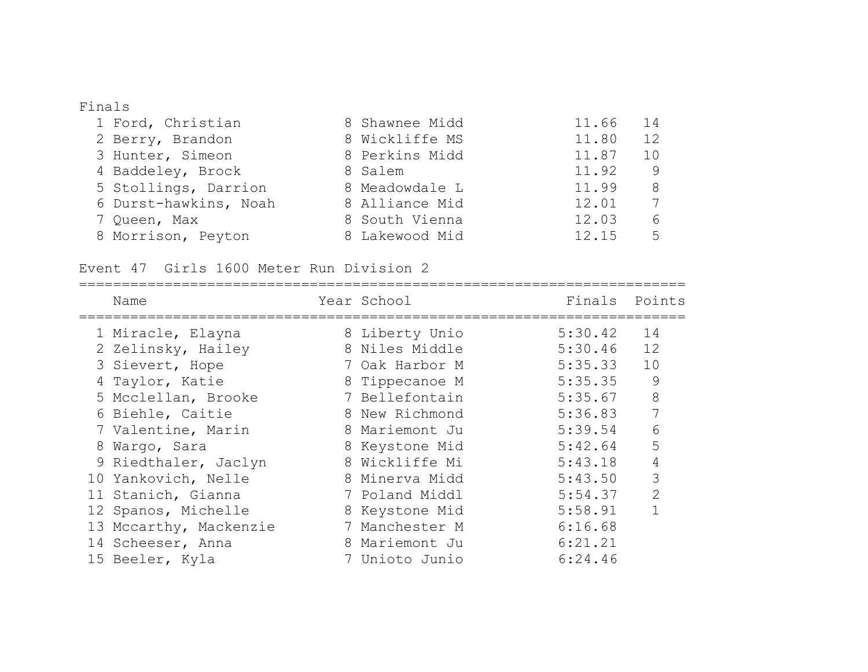### Finals

| 1 Ford, Christian     | 8 Shawnee Midd | 11.66<br>$14$ |
|-----------------------|----------------|---------------|
| 2 Berry, Brandon      | 8 Wickliffe MS | 12<br>11.80   |
| 3 Hunter, Simeon      | 8 Perkins Midd | 11.87<br>10   |
| 4 Baddeley, Brock     | 8 Salem        | 11.92<br>9    |
| 5 Stollings, Darrion  | 8 Meadowdale L | 11.99<br>8    |
| 6 Durst-hawkins, Noah | 8 Alliance Mid | 12.01         |
| 7 Queen, Max          | 8 South Vienna | 12.03<br>6    |
| 8 Morrison, Peyton    | 8 Lakewood Mid | 12.15<br>5    |

Event 47 Girls 1600 Meter Run Division 2

|  | Name                   | Year School    | Finals  | Points         |
|--|------------------------|----------------|---------|----------------|
|  | 1 Miracle, Elayna      | 8 Liberty Unio | 5:30.42 | 14             |
|  | 2 Zelinsky, Hailey     | 8 Niles Middle | 5:30.46 | 12             |
|  | 3 Sievert, Hope        | 7 Oak Harbor M | 5:35.33 | 10             |
|  | 4 Taylor, Katie        | 8 Tippecanoe M | 5:35.35 | 9              |
|  | 5 Mcclellan, Brooke    | 7 Bellefontain | 5:35.67 | 8              |
|  | 6 Biehle, Caitie       | 8 New Richmond | 5:36.83 | 7              |
|  | 7 Valentine, Marin     | 8 Mariemont Ju | 5:39.54 | 6              |
|  | 8 Wargo, Sara          | 8 Keystone Mid | 5:42.64 | 5              |
|  | 9 Riedthaler, Jaclyn   | 8 Wickliffe Mi | 5:43.18 |                |
|  | 10 Yankovich, Nelle    | 8 Minerva Midd | 5:43.50 | 3              |
|  | 11 Stanich, Gianna     | 7 Poland Middl | 5:54.37 | $\overline{2}$ |
|  | 12 Spanos, Michelle    | 8 Keystone Mid | 5:58.91 |                |
|  | 13 Mccarthy, Mackenzie | 7 Manchester M | 6:16.68 |                |
|  | 14 Scheeser, Anna      | 8 Mariemont Ju | 6:21.21 |                |
|  | 15 Beeler, Kyla        | 7 Unioto Junio | 6:24.46 |                |
|  |                        |                |         |                |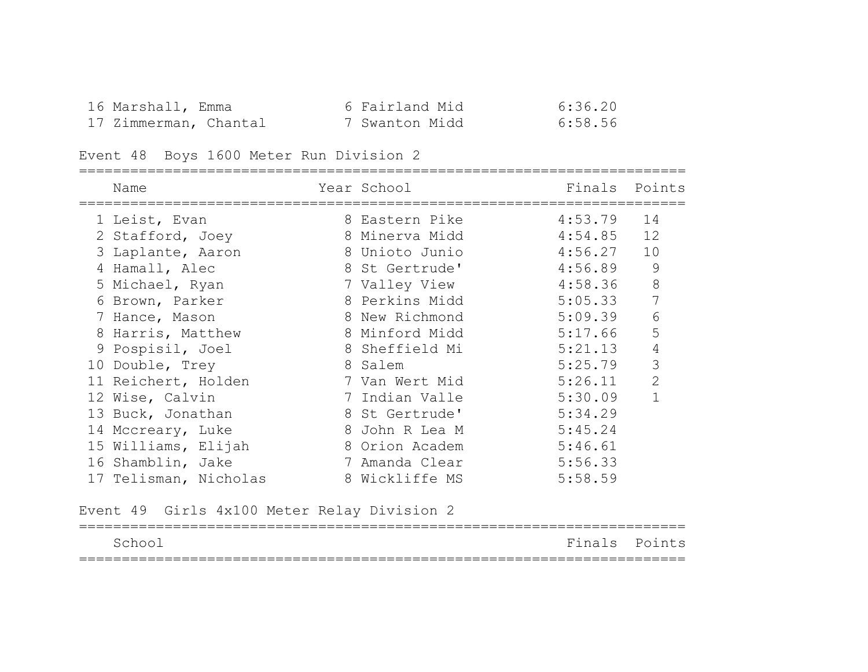| 16 Marshall, Emma     | 6 Fairland Mid | 6:36.20 |
|-----------------------|----------------|---------|
| 17 Zimmerman, Chantal | 7 Swanton Midd | 6:58.56 |

# Event 48 Boys 1600 Meter Run Division 2

| Name                  | Year School Theory     | Finals Points |                |
|-----------------------|------------------------|---------------|----------------|
| 1 Leist, Evan         | 8 Eastern Pike 4:53.79 |               | 14             |
| 2 Stafford, Joey      | 8 Minerva Midd         | 4:54.85       | 12             |
| 3 Laplante, Aaron     | 8 Unioto Junio         | 4:56.27       | 10             |
| 4 Hamall, Alec        | 8 St Gertrude'         | 4:56.89       | $\mathcal{G}$  |
| 5 Michael, Ryan       | 7 Valley View          | 4:58.36       | $8\,$          |
| 6 Brown, Parker       | 8 Perkins Midd         | 5:05.33       | 7              |
| 7 Hance, Mason        | 8 New Richmond         | 5:09.39       | 6              |
| 8 Harris, Matthew     | 8 Minford Midd         | 5:17.66       | 5              |
| 9 Pospisil, Joel      | 8 Sheffield Mi         | 5:21.13       | $\sqrt{4}$     |
| 10 Double, Trey       | 8 Salem                | 5:25.79       | 3              |
| 11 Reichert, Holden   | 7 Van Wert Mid         | 5:26.11       | $\overline{2}$ |
| 12 Wise, Calvin       | 7 Indian Valle         | 5:30.09       | $\mathbf 1$    |
| 13 Buck, Jonathan     | 8 St Gertrude'         | 5:34.29       |                |
| 14 Mccreary, Luke     | 8 John R Lea M         | 5:45.24       |                |
| 15 Williams, Elijah   | 8 Orion Academ         | 5:46.61       |                |
| 16 Shamblin, Jake     | 7 Amanda Clear         | 5:56.33       |                |
| 17 Telisman, Nicholas | 8 Wickliffe MS         | 5:58.59       |                |

Event 49 Girls 4x100 Meter Relay Division 2

| School |  | Finals Points |  |
|--------|--|---------------|--|
|        |  |               |  |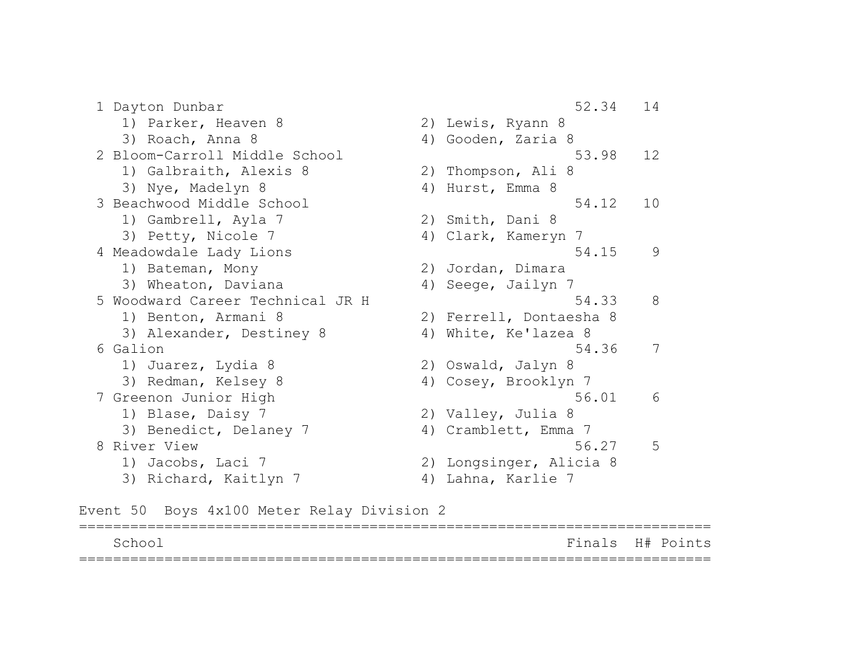1 Dayton Dunbar 52.34 14 1) Parker, Heaven 8 2) Lewis, Ryann 8 3) Roach, Anna 8 4) Gooden, Zaria 8 2 Bloom-Carroll Middle School 53.98 12 1) Galbraith, Alexis 8 2) Thompson, Ali 8 3) Nye, Madelyn 8 4) Hurst, Emma 8 3 Beachwood Middle School 54.12 10 1) Gambrell, Ayla 7 2) Smith, Dani 8 3) Petty, Nicole 7 (4) Clark, Kameryn 7 4 Meadowdale Lady Lions 64.15 9 1) Bateman, Mony 2) Jordan, Dimara 3) Wheaton, Daviana (4) Seege, Jailyn 7 5 Woodward Career Technical JR H 54.33 8 1) Benton, Armani 8 2) Ferrell, Dontaesha 8 3) Alexander, Destiney 8 4) White, Ke'lazea 8 6 Galion 54.36 7 1) Juarez, Lydia 8 2) Oswald, Jalyn 8 3) Redman, Kelsey 8 4) Cosey, Brooklyn 7 7 Greenon Junior High 56.01 6 1) Blase, Daisy 7 2) Valley, Julia 8 3) Benedict, Delaney 7 (4) Cramblett, Emma 7 8 River View 56.27 5 1) Jacobs, Laci 7 2) Longsinger, Alicia 8 3) Richard, Kaitlyn 7 (4) Lahna, Karlie 7

Event 50 Boys 4x100 Meter Relay Division 2

| Schoo | Finals H# Points |  |
|-------|------------------|--|
|       |                  |  |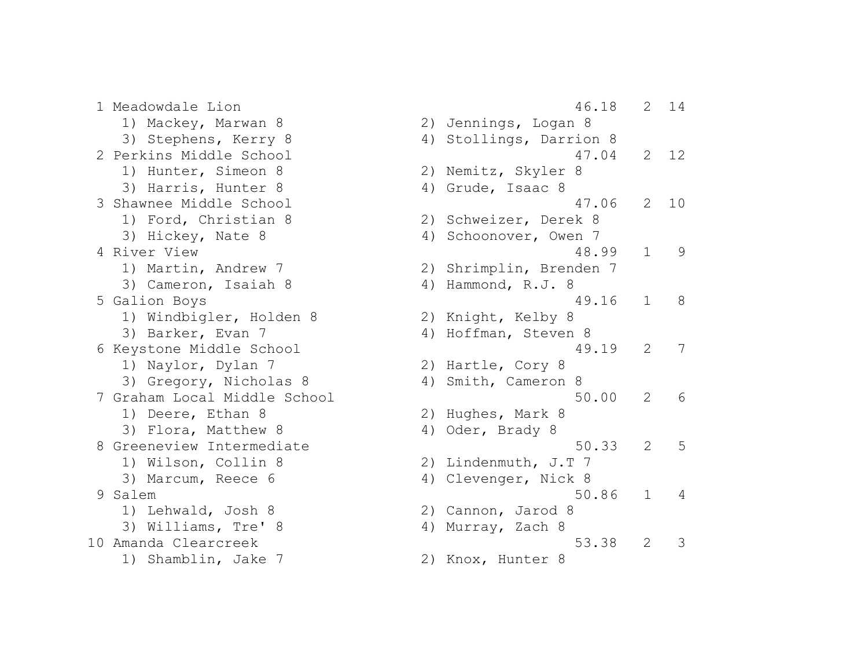1) Mackey, Marwan 8 2) Jennings, Logan 8 3) Stephens, Kerry 8 4) Stollings, Darrion 8 1) Hunter, Simeon 8 2) Nemitz, Skyler 8 3) Harris, Hunter 8 (4) Grude, Isaac 8 1) Ford, Christian 8 2) Schweizer, Derek 8 3) Hickey, Nate 8 4) Schoonover, Owen 7 1) Martin, Andrew 7 2) Shrimplin, Brenden 7 3) Cameron, Isaiah 8 4) Hammond, R.J. 8 1) Windbigler, Holden 8 2) Knight, Kelby 8 3) Barker, Evan 7 (4) Hoffman, Steven 8 1) Naylor, Dylan 7 2) Hartle, Cory 8 3) Gregory, Nicholas 8 4) Smith, Cameron 8 1) Deere, Ethan 8 2) Hughes, Mark 8 3) Flora, Matthew 8 4) Oder, Brady 8 1) Wilson, Collin 8 2) Lindenmuth, J.T 7 3) Marcum, Reece 6 4) Clevenger, Nick 8 1) Lehwald, Josh 8 2) Cannon, Jarod 8 3) Williams, Tre' 8 4) Murray, Zach 8 1) Shamblin, Jake 7 2) Knox, Hunter 8

 1 Meadowdale Lion 46.18 2 14 2 Perkins Middle School 47.04 2 12 3 Shawnee Middle School 47.06 2 10 4 River View 48.99 1 9 5 Galion Boys 49.16 1 8 6 Keystone Middle School 49.19 2 7 7 Graham Local Middle School 50.00 2 6 8 Greeneview Intermediate 50.33 2 5 9 Salem 50.86 1 4 10 Amanda Clearcreek 53.38 2 3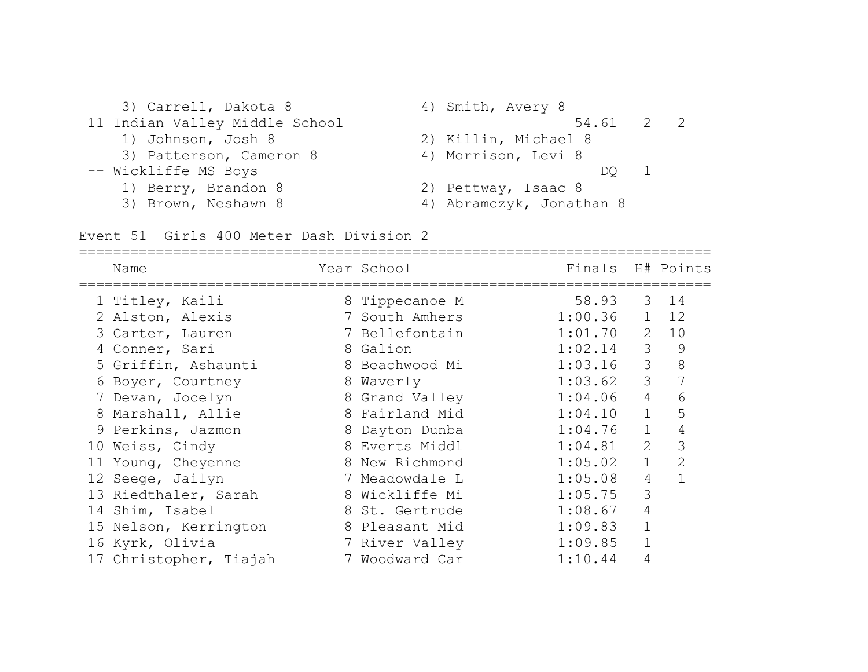| 3) Carrell, Dakota 8           | 4) Smith, Avery 8        |
|--------------------------------|--------------------------|
| 11 Indian Valley Middle School | 54.61 2 2                |
| 1) Johnson, Josh 8             | 2) Killin, Michael 8     |
| 3) Patterson, Cameron 8        | 4) Morrison, Levi 8      |
| -- Wickliffe MS Boys           | DO 1                     |
| 1) Berry, Brandon 8            | 2) Pettway, Isaac 8      |
| 3) Brown, Neshawn 8            | 4) Abramczyk, Jonathan 8 |

Event 51 Girls 400 Meter Dash Division 2

|   | Name                   |   | Year School    | Finals H# Points |                |                |
|---|------------------------|---|----------------|------------------|----------------|----------------|
|   | 1 Titley, Kaili        |   | 8 Tippecanoe M | 58.93            |                | 3 14           |
|   | 2 Alston, Alexis       |   | 7 South Amhers | 1:00.36          | $\mathbf{1}$   | 12             |
|   | 3 Carter, Lauren       |   | 7 Bellefontain | 1:01.70          | 2              | 10             |
|   | 4 Conner, Sari         |   | 8 Galion       | 1:02.14          | 3              | 9              |
|   | 5 Griffin, Ashaunti    |   | 8 Beachwood Mi | 1:03.16          | 3              | 8              |
|   | 6 Boyer, Courtney      |   | 8 Waverly      | 1:03.62          | $\mathcal{S}$  | 7              |
|   | 7 Devan, Jocelyn       |   | 8 Grand Valley | 1:04.06          | $\overline{4}$ | 6              |
| 8 | Marshall, Allie        |   | 8 Fairland Mid | 1:04.10          | $\mathbf{1}$   | 5              |
|   | 9 Perkins, Jazmon      | 8 | Dayton Dunba   | 1:04.76          | $\mathbf{1}$   | 4              |
|   | 10 Weiss, Cindy        |   | 8 Everts Middl | 1:04.81          | 2              | 3              |
|   | 11 Young, Cheyenne     |   | 8 New Richmond | 1:05.02          | $\mathbf{1}$   | $\overline{2}$ |
|   | 12 Seege, Jailyn       |   | 7 Meadowdale L | 1:05.08          | 4              |                |
|   | 13 Riedthaler, Sarah   |   | 8 Wickliffe Mi | 1:05.75          | 3              |                |
|   | 14 Shim, Isabel        |   | 8 St. Gertrude | 1:08.67          | 4              |                |
|   | 15 Nelson, Kerrington  |   | 8 Pleasant Mid | 1:09.83          |                |                |
|   | 16 Kyrk, Olivia        |   | 7 River Valley | 1:09.85          |                |                |
|   | 17 Christopher, Tiajah |   | 7 Woodward Car | 1:10.44          | 4              |                |
|   |                        |   |                |                  |                |                |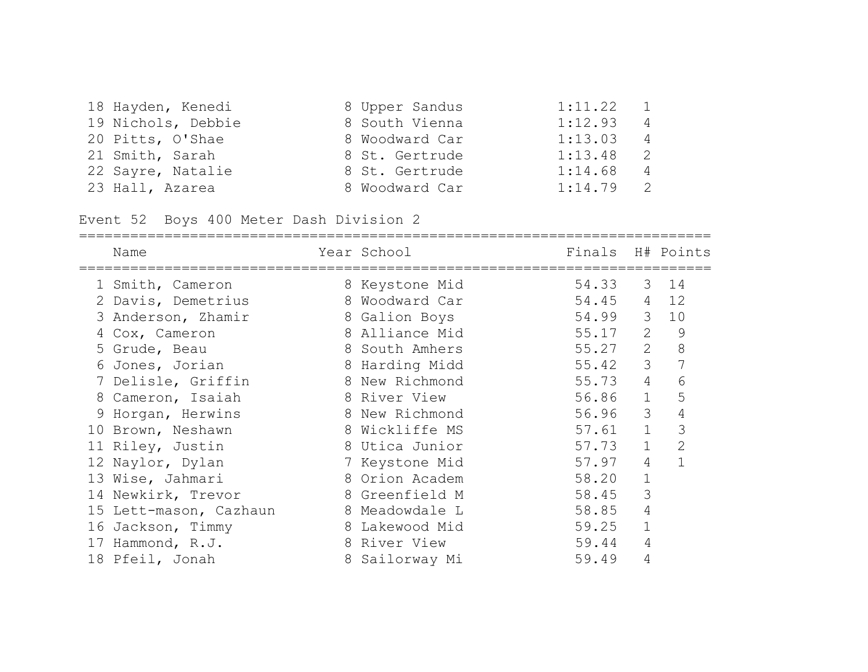| 18 Hayden, Kenedi  | 8 Upper Sandus | 1:11.22     | $\overline{1}$ |
|--------------------|----------------|-------------|----------------|
| 19 Nichols, Debbie | 8 South Vienna | 1:12.93     | 4              |
| 20 Pitts, O'Shae   | 8 Woodward Car | 1:13.03     | $\overline{4}$ |
| 21 Smith, Sarah    | 8 St. Gertrude | 1:13.48     | 2              |
| 22 Sayre, Natalie  | 8 St. Gertrude | 1:14.68     | $\overline{4}$ |
| 23 Hall, Azarea    | 8 Woodward Car | $1:14.79$ 2 |                |

Event 52 Boys 400 Meter Dash Division 2

| Name                   | Year School    | Finals H# Points |                |              |
|------------------------|----------------|------------------|----------------|--------------|
| 1 Smith, Cameron       | 8 Keystone Mid | 54.33            | 3              | 14           |
| 2 Davis, Demetrius     | 8 Woodward Car | 54.45            | 4              | 12           |
| 3 Anderson, Zhamir     | 8 Galion Boys  | 54.99 3          |                | 10           |
| 4 Cox, Cameron         | 8 Alliance Mid | 55.17            | 2              | 9            |
| 5 Grude, Beau          | 8 South Amhers | 55.27            | 2              | 8            |
| 6 Jones, Jorian        | 8 Harding Midd | 55.42            | 3              | 7            |
| 7 Delisle, Griffin     | 8 New Richmond | 55.73            | $\overline{4}$ | 6            |
| 8 Cameron, Isaiah      | 8 River View   | 56.86            | $\mathbf{1}$   | 5            |
| 9 Horgan, Herwins      | 8 New Richmond | 56.96            | 3              | 4            |
| 10 Brown, Neshawn      | 8 Wickliffe MS | 57.61            | $\mathbf{1}$   | 3            |
| 11 Riley, Justin       | 8 Utica Junior | 57.73            | $\mathbf{1}$   | $\mathbf{2}$ |
| 12 Naylor, Dylan       | 7 Keystone Mid | 57.97            | $\overline{4}$ |              |
| 13 Wise, Jahmari       | 8 Orion Academ | 58.20            | $\mathbf 1$    |              |
| 14 Newkirk, Trevor     | 8 Greenfield M | 58.45            | 3              |              |
| 15 Lett-mason, Cazhaun | 8 Meadowdale L | 58.85            | 4              |              |
| 16 Jackson, Timmy      | 8 Lakewood Mid | 59.25            | $\mathbf 1$    |              |
| 17 Hammond, R.J.       | 8 River View   | 59.44            | 4              |              |
| 18 Pfeil, Jonah        | 8 Sailorway Mi | 59.49            | 4              |              |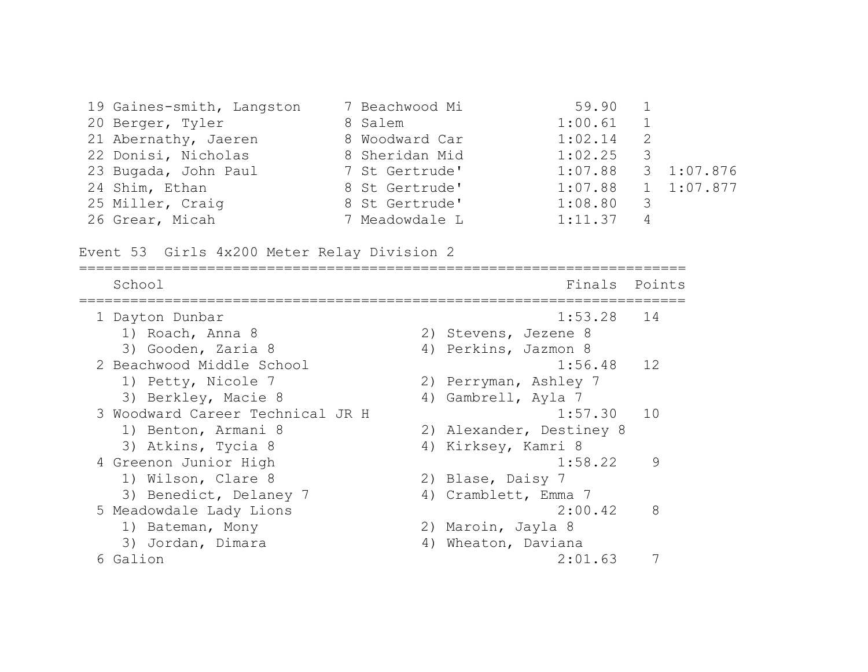| 19 Gaines-smith, Langston | 7 Beachwood Mi | 59.90                |    |            |
|---------------------------|----------------|----------------------|----|------------|
| 20 Berger, Tyler          | 8 Salem        | 1:00.61              |    |            |
| 21 Abernathy, Jaeren      | 8 Woodward Car | 1:02.14              | -2 |            |
| 22 Donisi, Nicholas       | 8 Sheridan Mid | 1:02.25              | 3  |            |
| 23 Bugada, John Paul      | 7 St Gertrude' | 1:07.88              |    | 3 1:07.876 |
| 24 Shim, Ethan            | 8 St Gertrude' | $1:07.88$ 1 1:07.877 |    |            |
| 25 Miller, Craig          | 8 St Gertrude' | 1:08.80              | 3  |            |
| 26 Grear, Micah           | 7 Meadowdale L | 1:11.37              | 4  |            |

Event 53 Girls 4x200 Meter Relay Division 2

| School                           | Points<br>Finals         |  |
|----------------------------------|--------------------------|--|
| 1 Dayton Dunbar                  | 1:53.28<br>14            |  |
| 1) Roach, Anna 8                 | 2) Stevens, Jezene 8     |  |
| 3) Gooden, Zaria 8               | 4) Perkins, Jazmon 8     |  |
| 2 Beachwood Middle School        | 12<br>1:56.48            |  |
| 1) Petty, Nicole 7               | 2) Perryman, Ashley 7    |  |
| 3) Berkley, Macie 8              | 4) Gambrell, Ayla 7      |  |
| 3 Woodward Career Technical JR H | 10<br>1:57.30            |  |
| 1) Benton, Armani 8              | 2) Alexander, Destiney 8 |  |
| 3) Atkins, Tycia 8               | 4) Kirksey, Kamri 8      |  |
| 4 Greenon Junior High            | 1:58.22<br>9             |  |
| 1) Wilson, Clare 8               | 2) Blase, Daisy 7        |  |
| 3) Benedict, Delaney 7           | 4) Cramblett, Emma 7     |  |
| 5 Meadowdale Lady Lions          | 2:00.42<br>8             |  |
| 1) Bateman, Mony                 | 2) Maroin, Jayla 8       |  |
| 3) Jordan, Dimara                | Wheaton, Daviana<br>4)   |  |
| 6 Galion                         | 2:01.63                  |  |
|                                  |                          |  |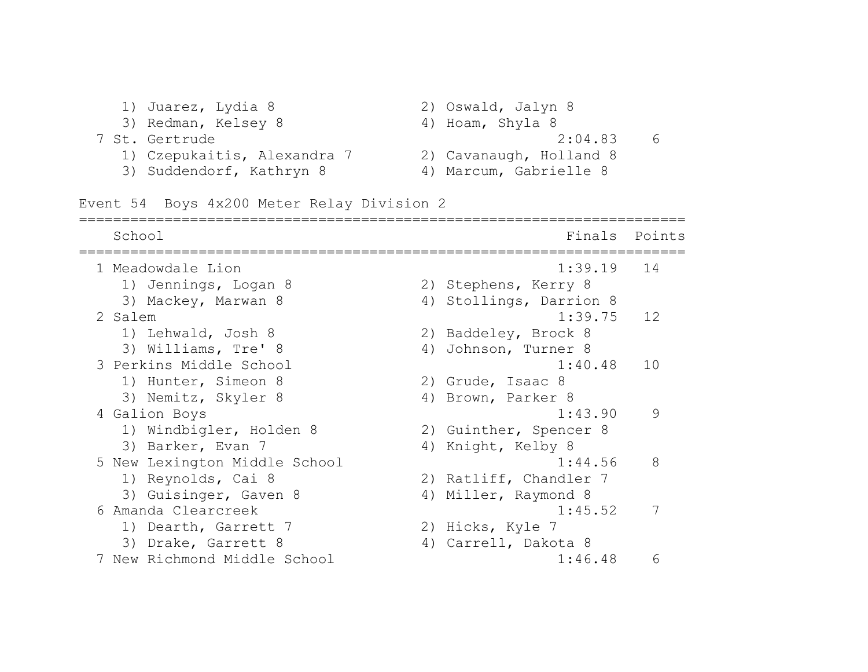1) Juarez, Lydia 8 2) Oswald, Jalyn 8 3) Redman, Kelsey 8 4) Hoam, Shyla 8 7 St. Gertrude 2:04.83 6 1) Czepukaitis, Alexandra 7 2) Cavanaugh, Holland 8 3) Suddendorf, Kathryn 8 4) Marcum, Gabrielle 8 Event 54 Boys 4x200 Meter Relay Division 2 ======================================================================= School **Finals** Points ======================================================================= 1 Meadowdale Lion 1:39.19 14 1) Jennings, Logan 8 2) Stephens, Kerry 8 3) Mackey, Marwan 8 4) Stollings, Darrion 8 2 Salem 1:39.75 12 1) Lehwald, Josh 8 2) Baddeley, Brock 8 3) Williams, Tre' 8 4) Johnson, Turner 8 3 Perkins Middle School 1:40.48 10 1) Hunter, Simeon 8 2) Grude, Isaac 8 3) Nemitz, Skyler 8 4) Brown, Parker 8 4 Galion Boys 1:43.90 9 1) Windbigler, Holden 8 2) Guinther, Spencer 8 3) Barker, Evan 7 4) Knight, Kelby 8 5 New Lexington Middle School 1:44.56 8 1) Reynolds, Cai 8 2) Ratliff, Chandler 7 3) Guisinger, Gaven 8 4) Miller, Raymond 8 6 Amanda Clearcreek 1:45.52 7 1) Dearth, Garrett 7 2) Hicks, Kyle 7 3) Drake, Garrett 8 (4) Carrell, Dakota 8 7 New Richmond Middle School 1:46.48 6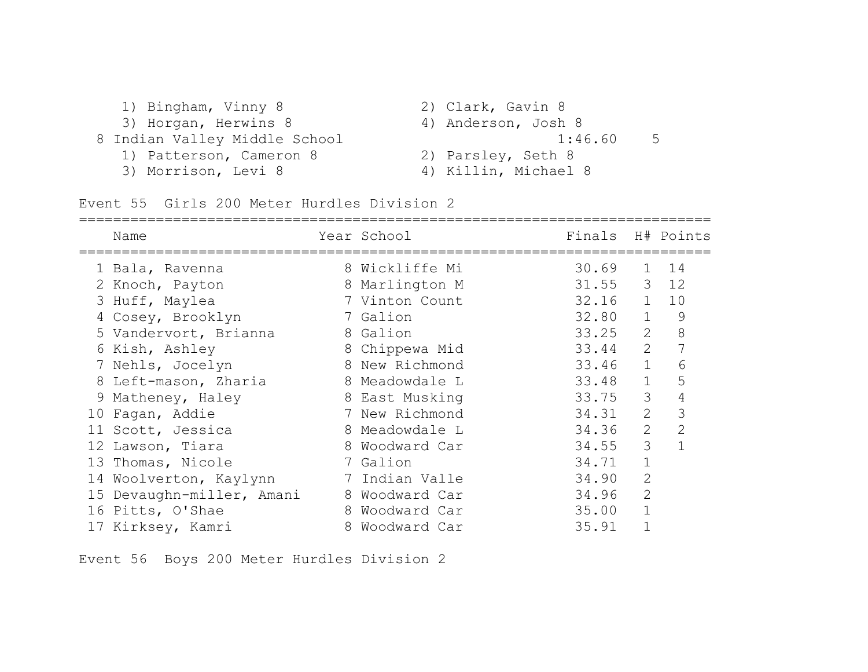| 1) Bingham, Vinny 8           | 2) Clark, Gavin 8    |
|-------------------------------|----------------------|
| 3) Horgan, Herwins 8          | 4) Anderson, Josh 8  |
| 8 Indian Valley Middle School | 1:46.60<br>5         |
| 1) Patterson, Cameron 8       | 2) Parsley, Seth 8   |
| 3) Morrison, Levi 8           | 4) Killin, Michael 8 |

Event 55 Girls 200 Meter Hurdles Division 2

|    | Name                      |   | Year School    | Finals H# Points |                |                |
|----|---------------------------|---|----------------|------------------|----------------|----------------|
|    | 1 Bala, Ravenna           |   | 8 Wickliffe Mi | 30.69            | $\mathbf{1}$   | 14             |
|    | 2 Knoch, Payton           |   | 8 Marlington M | 31.55            | $\mathcal{S}$  | 12             |
|    | 3 Huff, Maylea            |   | 7 Vinton Count | 32.16            | $\mathbf{1}$   | 10             |
|    | 4 Cosey, Brooklyn         |   | 7 Galion       | 32.80            | $\mathbf{1}$   | 9              |
|    | 5 Vandervort, Brianna     |   | 8 Galion       | 33.25            | $\overline{2}$ | 8              |
|    | 6 Kish, Ashley            |   | 8 Chippewa Mid | 33.44            | 2              | 7              |
|    | 7 Nehls, Jocelyn          |   | 8 New Richmond | 33.46            | $\mathbf 1$    | 6              |
|    | 8 Left-mason, Zharia      |   | 8 Meadowdale L | 33.48            | $\mathbf{1}$   | 5              |
|    | 9 Matheney, Haley         |   | 8 East Musking | 33.75            | 3              | 4              |
| 10 | Fagan, Addie              |   | 7 New Richmond | 34.31            | 2              | 3              |
|    | 11 Scott, Jessica         |   | 8 Meadowdale L | 34.36            | 2              | $\overline{2}$ |
|    | 12 Lawson, Tiara          |   | 8 Woodward Car | 34.55            | 3              | $\mathbf{1}$   |
|    | 13 Thomas, Nicole         |   | 7 Galion       | 34.71            | $\mathbf 1$    |                |
|    | 14 Woolverton, Kaylynn    |   | 7 Indian Valle | 34.90            | $\overline{2}$ |                |
|    | 15 Devaughn-miller, Amani |   | 8 Woodward Car | 34.96            | $\mathbf{2}$   |                |
|    | 16 Pitts, O'Shae          | 8 | Woodward Car   | 35.00            |                |                |
|    | 17 Kirksey, Kamri         | 8 | Woodward Car   | 35.91            |                |                |

Event 56 Boys 200 Meter Hurdles Division 2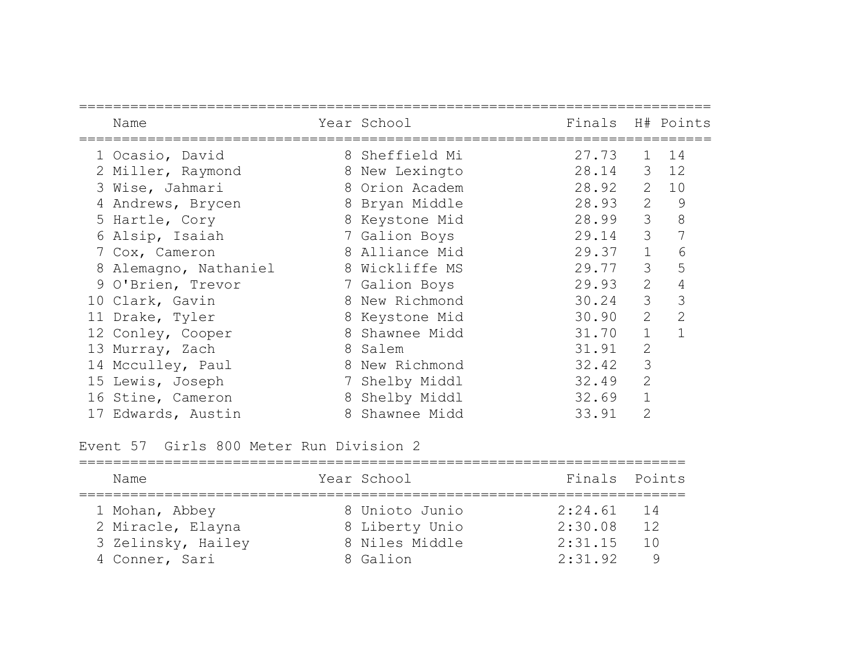| Name                  |   | Year School    | Finals H# Points |                |                |
|-----------------------|---|----------------|------------------|----------------|----------------|
| 1 Ocasio, David       |   | 8 Sheffield Mi | 27.73            | $\mathbf{1}$   | 14             |
| 2 Miller, Raymond     | 8 | New Lexingto   | 28.14            | 3              | 12             |
| 3 Wise, Jahmari       |   | 8 Orion Academ | 28.92            | 2              | 10             |
| 4 Andrews, Brycen     |   | 8 Bryan Middle | 28.93            | 2              | 9              |
| 5 Hartle, Cory        |   | 8 Keystone Mid | 28.99            | 3              | 8              |
| 6 Alsip, Isaiah       |   | 7 Galion Boys  | 29.14            | 3              |                |
| 7 Cox, Cameron        |   | 8 Alliance Mid | 29.37            | $\mathbf{1}$   | 6              |
| 8 Alemagno, Nathaniel |   | 8 Wickliffe MS | 29.77            | 3              | 5              |
| 9 O'Brien, Trevor     |   | 7 Galion Boys  | 29.93            | 2              | 4              |
| 10 Clark, Gavin       |   | 8 New Richmond | 30.24            | 3              | 3              |
| 11 Drake, Tyler       | 8 | Keystone Mid   | 30.90            | $\overline{2}$ | $\overline{2}$ |
| 12 Conley, Cooper     |   | 8 Shawnee Midd | 31.70            |                |                |
| 13 Murray, Zach       | 8 | Salem          | 31.91            | $\overline{2}$ |                |
| 14 Mcculley, Paul     |   | 8 New Richmond | 32.42            | 3              |                |
| 15 Lewis, Joseph      | 7 | Shelby Middl   | 32.49            | $\overline{2}$ |                |
| 16 Stine, Cameron     | 8 | Shelby Middl   | 32.69            |                |                |
| 17 Edwards, Austin    | 8 | Shawnee Midd   | 33.91            | $\overline{2}$ |                |

Event 57 Girls 800 Meter Run Division 2

| Name                                                                        | Year School                                                    | Finals Points                                 |           |
|-----------------------------------------------------------------------------|----------------------------------------------------------------|-----------------------------------------------|-----------|
| 1 Mohan, Abbey<br>2 Miracle, Elayna<br>3 Zelinsky, Hailey<br>4 Conner, Sari | 8 Unioto Junio<br>8 Liberty Unio<br>8 Niles Middle<br>8 Galion | $2:24.61$ 14<br>2:30.08<br>2:31.15<br>2:31.92 | 12<br>1 N |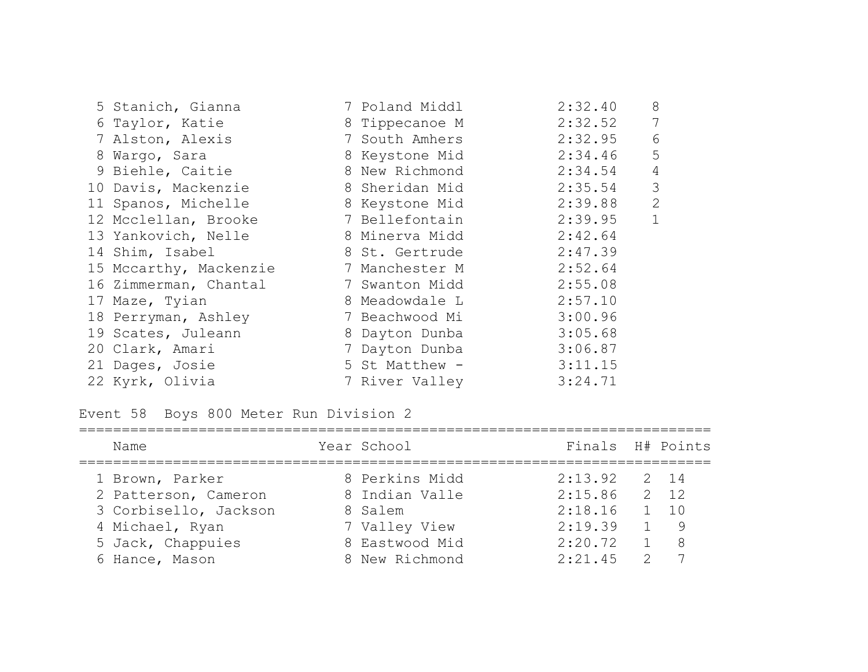| 5 Stanich, Gianna      | 7 Poland Middl | 2:32.40 | 8            |
|------------------------|----------------|---------|--------------|
| 6 Taylor, Katie        | 8 Tippecanoe M | 2:32.52 | 7            |
| 7 Alston, Alexis       | 7 South Amhers | 2:32.95 | 6            |
| 8 Wargo, Sara          | 8 Keystone Mid | 2:34.46 | 5            |
| 9 Biehle, Caitie       | 8 New Richmond | 2:34.54 | 4            |
| 10 Davis, Mackenzie    | 8 Sheridan Mid | 2:35.54 | 3            |
| 11 Spanos, Michelle    | 8 Keystone Mid | 2:39.88 | 2            |
| 12 Mcclellan, Brooke   | 7 Bellefontain | 2:39.95 | $\mathbf{1}$ |
| 13 Yankovich, Nelle    | 8 Minerva Midd | 2:42.64 |              |
| 14 Shim, Isabel        | 8 St. Gertrude | 2:47.39 |              |
| 15 Mccarthy, Mackenzie | 7 Manchester M | 2:52.64 |              |
| 16 Zimmerman, Chantal  | 7 Swanton Midd | 2:55.08 |              |
| 17 Maze, Tyian         | 8 Meadowdale L | 2:57.10 |              |
| 18 Perryman, Ashley    | 7 Beachwood Mi | 3:00.96 |              |
| 19 Scates, Juleann     | 8 Dayton Dunba | 3:05.68 |              |
| 20 Clark, Amari        | 7 Dayton Dunba | 3:06.87 |              |
| 21 Dages, Josie        | 5 St Matthew - | 3:11.15 |              |
| 22 Kyrk, Olivia        | 7 River Valley | 3:24.71 |              |

Event 58 Boys 800 Meter Run Division 2

| Name                  | Year School    | Finals H# Points |               |              |
|-----------------------|----------------|------------------|---------------|--------------|
| 1 Brown, Parker       | 8 Perkins Midd | 2:13.92          |               | 2 14         |
| 2 Patterson, Cameron  | 8 Indian Valle | 2:15.86          |               | $2 \quad 12$ |
| 3 Corbisello, Jackson | 8 Salem        | 2:18.16          |               | $1 \quad 10$ |
| 4 Michael, Ryan       | 7 Valley View  | 2:19.39          |               | 1 9          |
| 5 Jack, Chappuies     | 8 Eastwood Mid | 2:20.72          |               | 8            |
| 6 Hance, Mason        | 8 New Richmond | 2:21.45          | $\mathcal{P}$ |              |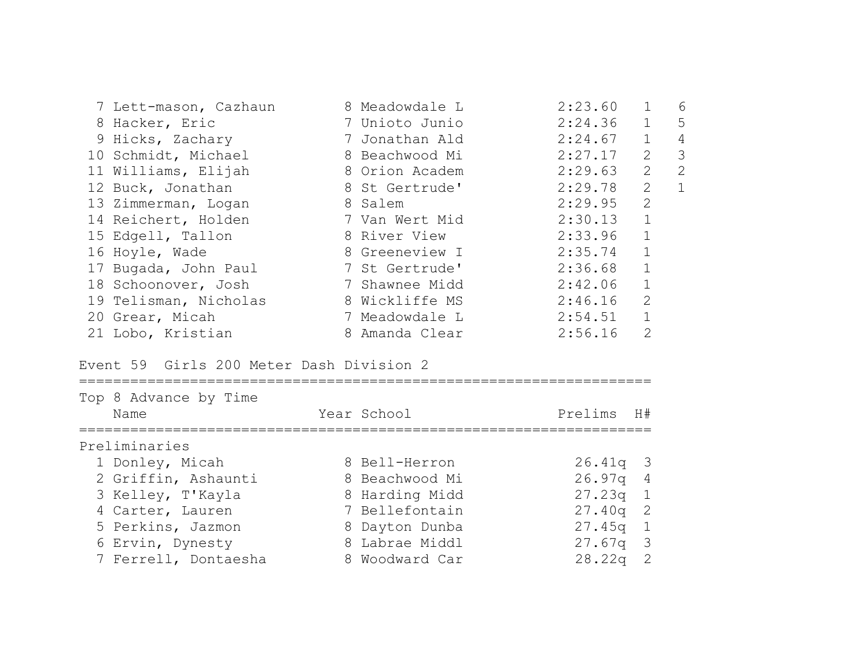| 7 Lett-mason, Cazhaun | 8 Meadowdale L | 2:23.60 | $\mathbf{1}$   | 6 |
|-----------------------|----------------|---------|----------------|---|
| 8 Hacker, Eric        | 7 Unioto Junio | 2:24.36 | $\mathbf{1}$   | 5 |
| 9 Hicks, Zachary      | 7 Jonathan Ald | 2:24.67 | $\mathbf{1}$   | 4 |
| 10 Schmidt, Michael   | 8 Beachwood Mi | 2:27.17 | $\overline{2}$ | 3 |
| 11 Williams, Elijah   | 8 Orion Academ | 2:29.63 | 2              | 2 |
| 12 Buck, Jonathan     | 8 St Gertrude' | 2:29.78 | $\overline{2}$ |   |
| 13 Zimmerman, Logan   | 8 Salem        | 2:29.95 | 2              |   |
| 14 Reichert, Holden   | 7 Van Wert Mid | 2:30.13 |                |   |
| 15 Edgell, Tallon     | 8 River View   | 2:33.96 | $\mathbf{1}$   |   |
| 16 Hoyle, Wade        | 8 Greeneview I | 2:35.74 | $\mathbf{1}$   |   |
| 17 Bugada, John Paul  | 7 St Gertrude' | 2:36.68 | $\mathbf{1}$   |   |
| 18 Schoonover, Josh   | 7 Shawnee Midd | 2:42.06 | $\mathbf{1}$   |   |
| 19 Telisman, Nicholas | 8 Wickliffe MS | 2:46.16 | $\overline{2}$ |   |
| 20 Grear, Micah       | 7 Meadowdale L | 2:54.51 |                |   |
| 21 Lobo, Kristian     | 8 Amanda Clear | 2:56.16 | 2              |   |

#### Event 59 Girls 200 Meter Dash Division 2

| Top 8 Advance by Time<br>Name |  | Year School    | Prelims    | H#             |  |  |  |  |  |  |
|-------------------------------|--|----------------|------------|----------------|--|--|--|--|--|--|
| Preliminaries                 |  |                |            |                |  |  |  |  |  |  |
| 1 Donley, Micah               |  | 8 Bell-Herron  | $26.41q$ 3 |                |  |  |  |  |  |  |
| 2 Griffin, Ashaunti           |  | 8 Beachwood Mi | 26.97q 4   |                |  |  |  |  |  |  |
| 3 Kelley, T'Kayla             |  | 8 Harding Midd | 27.23q     | $\overline{1}$ |  |  |  |  |  |  |
| 4 Carter, Lauren              |  | 7 Bellefontain | $27.40q$ 2 |                |  |  |  |  |  |  |
| 5 Perkins, Jazmon             |  | 8 Dayton Dunba | $27.45q$ 1 |                |  |  |  |  |  |  |
| 6 Ervin, Dynesty              |  | 8 Labrae Middl | $27.67q$ 3 |                |  |  |  |  |  |  |
| 7 Ferrell, Dontaesha          |  | 8 Woodward Car | 28.22q     |                |  |  |  |  |  |  |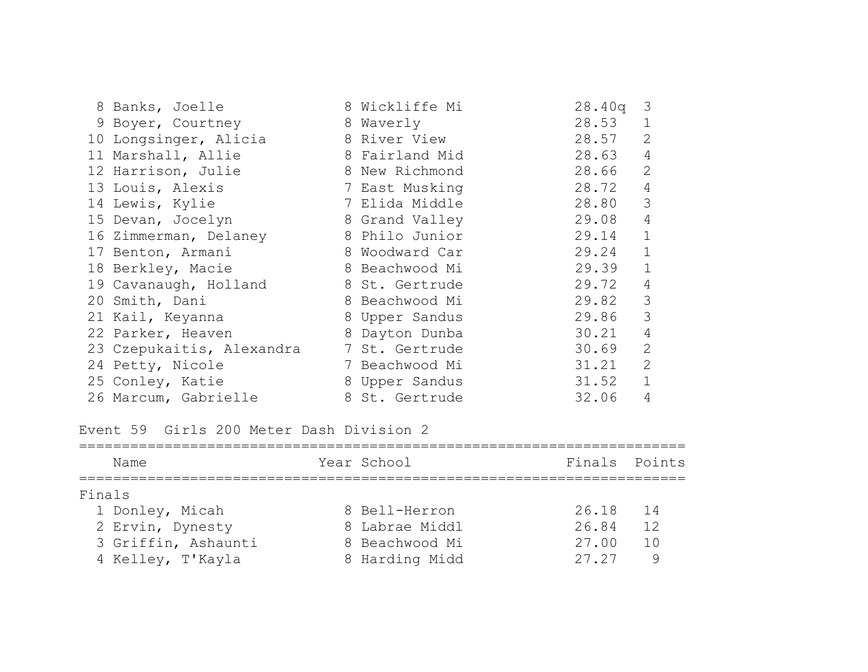| 8 Banks, Joelle           | 8 Wickliffe Mi | 28.40q<br>3             |
|---------------------------|----------------|-------------------------|
| 9 Boyer, Courtney         | 8 Waverly      | 28.53<br>$\mathbf 1$    |
| 10 Longsinger, Alicia     | 8 River View   | 28.57<br>$\overline{2}$ |
| 11 Marshall, Allie        | 8 Fairland Mid | 4<br>28.63              |
| 12 Harrison, Julie        | 8 New Richmond | $\overline{2}$<br>28.66 |
| 13 Louis, Alexis          | 7 East Musking | $\overline{4}$<br>28.72 |
| 14 Lewis, Kylie           | 7 Elida Middle | 3<br>28.80              |
| 15 Devan, Jocelyn         | 8 Grand Valley | 4<br>29.08              |
| 16 Zimmerman, Delaney     | 8 Philo Junior | $\mathbf{1}$<br>29.14   |
| 17 Benton, Armani         | 8 Woodward Car | $\mathbf{1}$<br>29.24   |
| 18 Berkley, Macie         | 8 Beachwood Mi | $\mathbf{1}$<br>29.39   |
| 19 Cavanaugh, Holland     | 8 St. Gertrude | $\overline{4}$<br>29.72 |
| 20 Smith, Dani            | 8 Beachwood Mi | 3<br>29.82              |
| 21 Kail, Keyanna          | 8 Upper Sandus | 3<br>29.86              |
| 22 Parker, Heaven         | 8 Dayton Dunba | 4<br>30.21              |
| 23 Czepukaitis, Alexandra | 7 St. Gertrude | $\overline{2}$<br>30.69 |
| 24 Petty, Nicole          | 7 Beachwood Mi | 2<br>31.21              |
| 25 Conley, Katie          | 8 Upper Sandus | $\mathbf{1}$<br>31.52   |
| 26 Marcum, Gabrielle      | 8 St. Gertrude | 4<br>32.06              |

Event 59 Girls 200 Meter Dash Division 2

| Name                | Year School    | Finals Points |
|---------------------|----------------|---------------|
| Finals              |                |               |
| 1 Donley, Micah     | 8 Bell-Herron  | 26.18<br>$14$ |
| 2 Ervin, Dynesty    | 8 Labrae Middl | 26.84<br>12   |
| 3 Griffin, Ashaunti | 8 Beachwood Mi | 10<br>27.00   |
| 4 Kelley, T'Kayla   | 8 Harding Midd | 27.27<br>9    |
|                     |                |               |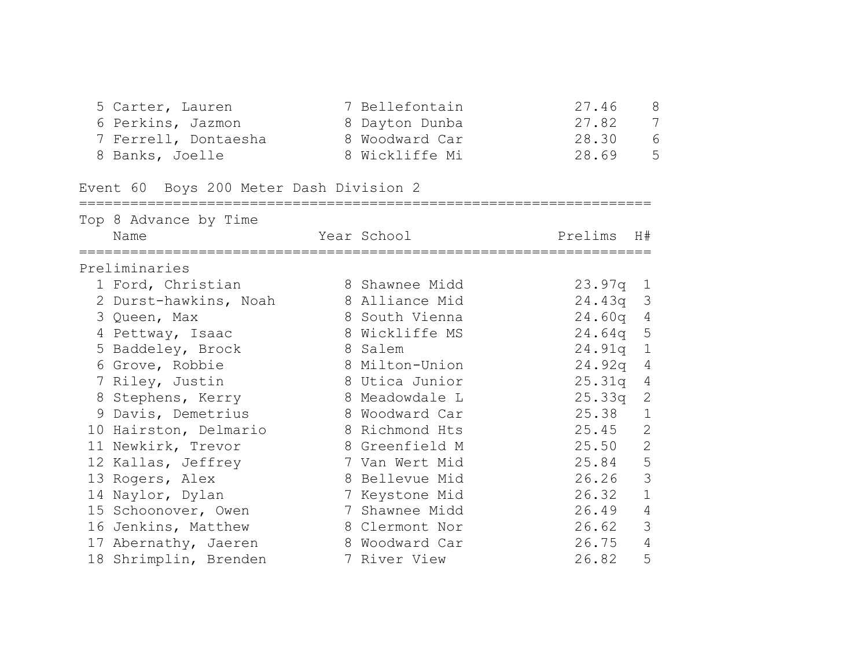| 5 Carter, Lauren     | 7 Bellefontain | 27.46<br>8 |
|----------------------|----------------|------------|
| 6 Perkins, Jazmon    | 8 Dayton Dunba | 7<br>27.82 |
| 7 Ferrell, Dontaesha | 8 Woodward Car | 28.30<br>6 |
| 8 Banks, Joelle      | 8 Wickliffe Mi | 28.69<br>5 |

===================================================================

# Event 60 Boys 200 Meter Dash Division 2

| Top 8 Advance by Time |                |            |                |
|-----------------------|----------------|------------|----------------|
| Name                  | Year School    | Prelims    | H#             |
| Preliminaries         |                |            |                |
| 1 Ford, Christian     | 8 Shawnee Midd | $23.97q$ 1 |                |
| 2 Durst-hawkins, Noah | 8 Alliance Mid | $24.43q$ 3 |                |
| 3 Queen, Max          | 8 South Vienna | $24.60q$ 4 |                |
| 4 Pettway, Isaac      | 8 Wickliffe MS | 24.64q 5   |                |
| 5 Baddeley, Brock     | 8 Salem        | $24.91q$ 1 |                |
| 6 Grove, Robbie       | 8 Milton-Union | $24.92q$ 4 |                |
| 7 Riley, Justin       | 8 Utica Junior | 25.31q     | 4              |
| 8 Stephens, Kerry     | 8 Meadowdale L | 25.33q     | 2              |
| 9 Davis, Demetrius    | 8 Woodward Car | 25.38      | $\mathbf{1}$   |
| 10 Hairston, Delmario | 8 Richmond Hts | 25.45      | $\overline{2}$ |
| 11 Newkirk, Trevor    | 8 Greenfield M | 25.50      | $\mathbf{2}$   |
| 12 Kallas, Jeffrey    | 7 Van Wert Mid | 25.84      | 5              |
| 13 Rogers, Alex       | 8 Bellevue Mid | 26.26      | 3              |
| 14 Naylor, Dylan      | 7 Keystone Mid | 26.32      | $\mathbf{1}$   |
| 15 Schoonover, Owen   | 7 Shawnee Midd | 26.49      | $\overline{4}$ |
| 16 Jenkins, Matthew   | 8 Clermont Nor | 26.62      | 3              |
| 17 Abernathy, Jaeren  | 8 Woodward Car | 26.75      | $\overline{4}$ |
| 18 Shrimplin, Brenden | 7 River View   | 26.82      | 5              |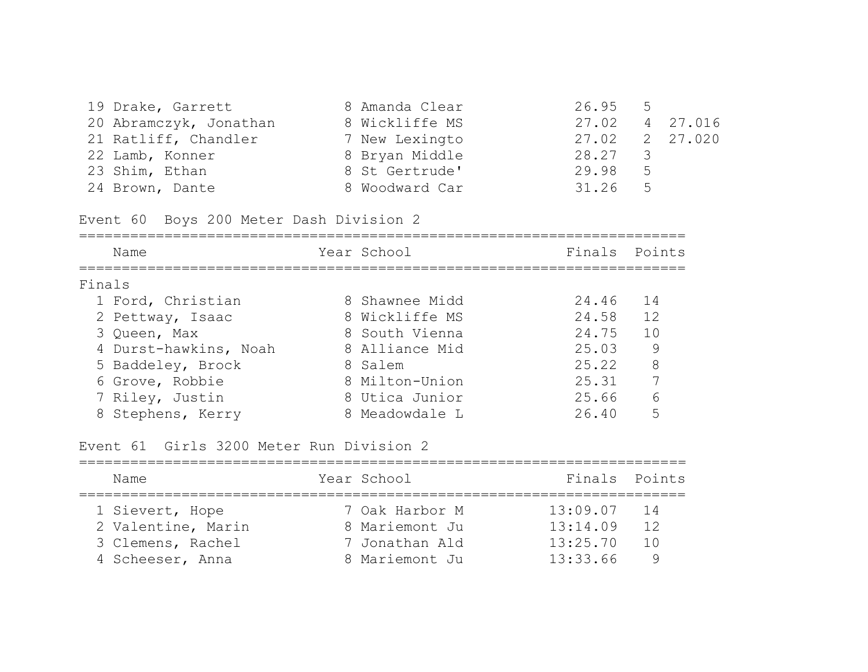| 19 Drake, Garrett      | 8 Amanda Clear | $26.95$ 5 |                          |                |          |
|------------------------|----------------|-----------|--------------------------|----------------|----------|
| 20 Abramczyk, Jonathan | 8 Wickliffe MS | 27.02     |                          |                | 4 27.016 |
| 21 Ratliff, Chandler   | 7 New Lexingto | 27.02     |                          |                | 2 27.020 |
| 22 Lamb, Konner        | 8 Bryan Middle | 28.27     | $\overline{\mathcal{S}}$ |                |          |
| 23 Shim, Ethan         | 8 St Gertrude' | 29.98     |                          | 5 <sup>5</sup> |          |
| 24 Brown, Dante        | 8 Woodward Car | 31.26     | $5^{\circ}$              |                |          |

Event 60 Boys 200 Meter Dash Division 2

| Name                  | Year School    | Finals Points |    |
|-----------------------|----------------|---------------|----|
| Finals                |                |               |    |
| 1 Ford, Christian     | 8 Shawnee Midd | 24.46         | 14 |
| 2 Pettway, Isaac      | 8 Wickliffe MS | 24.58         | 12 |
| 3 Queen, Max          | 8 South Vienna | 24.75         | 10 |
| 4 Durst-hawkins, Noah | 8 Alliance Mid | 25.03         | 9  |
| 5 Baddeley, Brock     | 8 Salem        | 25.22         | 8  |
| 6 Grove, Robbie       | 8 Milton-Union | 25.31         | 7  |
| 7 Riley, Justin       | 8 Utica Junior | 25.66         | 6  |
| 8 Stephens, Kerry     | 8 Meadowdale L | 26.40         | 5  |
|                       |                |               |    |

Event 61 Girls 3200 Meter Run Division 2

| Finals Points |
|---------------|
|               |
| 14            |
| 12            |
| 1 N           |
|               |
|               |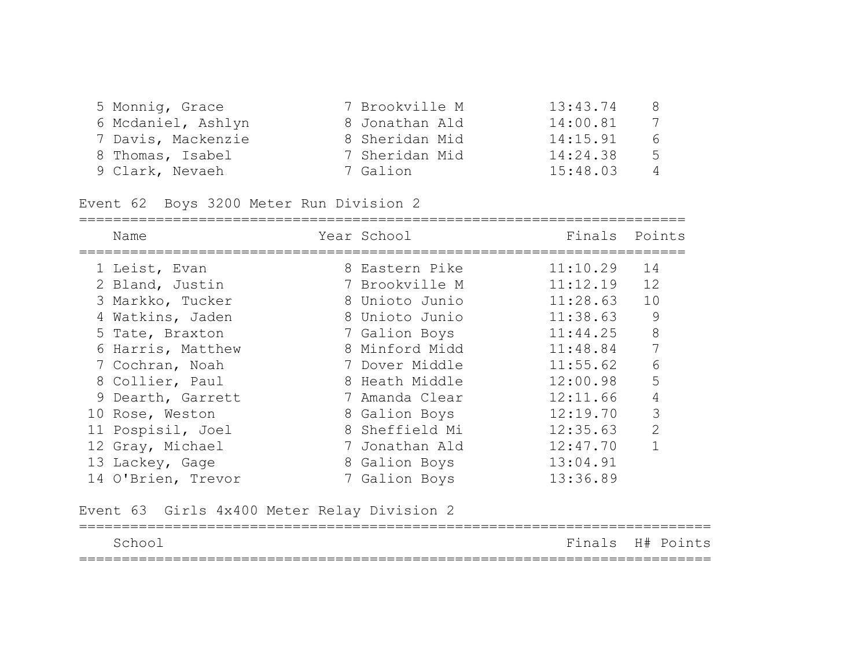| 5 Monnig, Grace    | 7 Brookville M | 13:43.74 | 8 |
|--------------------|----------------|----------|---|
| 6 Mcdaniel, Ashlyn | 8 Jonathan Ald | 14:00.81 | 7 |
| 7 Davis, Mackenzie | 8 Sheridan Mid | 14:15.91 | 6 |
| 8 Thomas, Isabel   | 7 Sheridan Mid | 14:24.38 | 5 |
| 9 Clark, Nevaeh    | 7 Galion       | 15:48.03 | 4 |

Event 62 Boys 3200 Meter Run Division 2

| Name               | Year School    | Finals   | Points         |
|--------------------|----------------|----------|----------------|
| 1 Leist, Evan      | 8 Eastern Pike | 11:10.29 | 14             |
| 2 Bland, Justin    | 7 Brookville M | 11:12.19 | 12             |
| 3 Markko, Tucker   | 8 Unioto Junio | 11:28.63 | 10             |
| 4 Watkins, Jaden   | 8 Unioto Junio | 11:38.63 | 9              |
| 5 Tate, Braxton    | 7 Galion Boys  | 11:44.25 | 8              |
| 6 Harris, Matthew  | 8 Minford Midd | 11:48.84 |                |
| 7 Cochran, Noah    | 7 Dover Middle | 11:55.62 | 6              |
| 8 Collier, Paul    | 8 Heath Middle | 12:00.98 | 5              |
| 9 Dearth, Garrett  | 7 Amanda Clear | 12:11.66 | 4              |
| 10 Rose, Weston    | 8 Galion Boys  | 12:19.70 | 3              |
| 11 Pospisil, Joel  | 8 Sheffield Mi | 12:35.63 | $\overline{2}$ |
| 12 Gray, Michael   | 7 Jonathan Ald | 12:47.70 |                |
| 13 Lackey, Gage    | 8 Galion Boys  | 13:04.91 |                |
| 14 O'Brien, Trevor | 7 Galion Boys  | 13:36.89 |                |

Event 63 Girls 4x400 Meter Relay Division 2

|                                 | __________________ |                  |
|---------------------------------|--------------------|------------------|
| School                          |                    | Finals H# Points |
| ------------------------------- |                    |                  |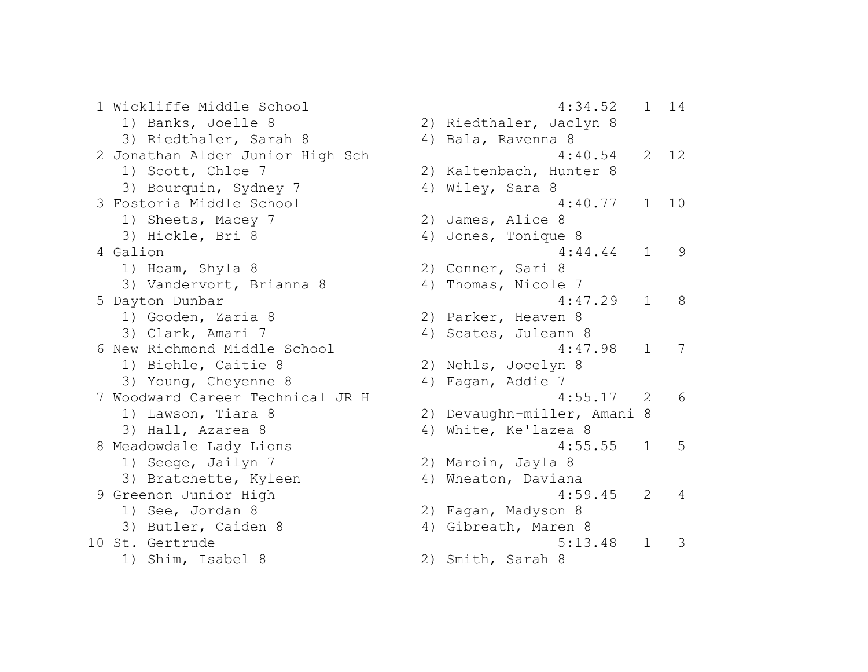1 Wickliffe Middle School 4:34.52 1 14 1) Banks, Joelle 8 2) Riedthaler, Jaclyn 8 3) Riedthaler, Sarah 8 (4) Bala, Ravenna 8 2 Jonathan Alder Junior High Sch 1997 12 1) Scott, Chloe 7 2) Kaltenbach, Hunter 8 3) Bourquin, Sydney 7 (4) Wiley, Sara 8 3 Fostoria Middle School 4:40.77 1 10 1) Sheets, Macey 7 2) James, Alice 8 3) Hickle, Bri 8 4) Jones, Tonique 8 4:44.44 1 9 1) Hoam, Shyla 8 2) Conner, Sari 8 3) Vandervort, Brianna 8 4) Thomas, Nicole 7 5 Dayton Dunbar 4:47.29 1 8 1) Gooden, Zaria 8 2) Parker, Heaven 8 3) Clark, Amari 7 (4) Scates, Juleann 8 6 New Richmond Middle School 4:47.98 1 7 1) Biehle, Caitie 8 2) Nehls, Jocelyn 8 3) Young, Cheyenne 8 4) Fagan, Addie 7 7 Woodward Career Technical JR H 4:55.17 2 6 1) Lawson, Tiara 8 2) Devaughn-miller, Amani 8 3) Hall, Azarea 8 4) White, Ke'lazea 8 8 Meadowdale Lady Lions 1:55.55 1 5 1) Seege, Jailyn 7 2) Maroin, Jayla 8 3) Bratchette, Kyleen 4) Wheaton, Daviana 9 Greenon Junior High 1990 and 1990 and 1990 and 4:59.45 and 4:59.45 and 4:59.45 and 4:59.45 and 4:59.45 and 4:59.45 and 4:59.45 and 4:59.45 and 4:59.45 and 4:59.45 and 4:59.45 and 4:59.45 and 4:59.45 and 4:59.45 and 4:59. 1) See, Jordan 8 2) Fagan, Madyson 8 3) Butler, Caiden 8 4) Gibreath, Maren 8 10 St. Gertrude 5:13.48 1 3 1) Shim, Isabel 8 2) Smith, Sarah 8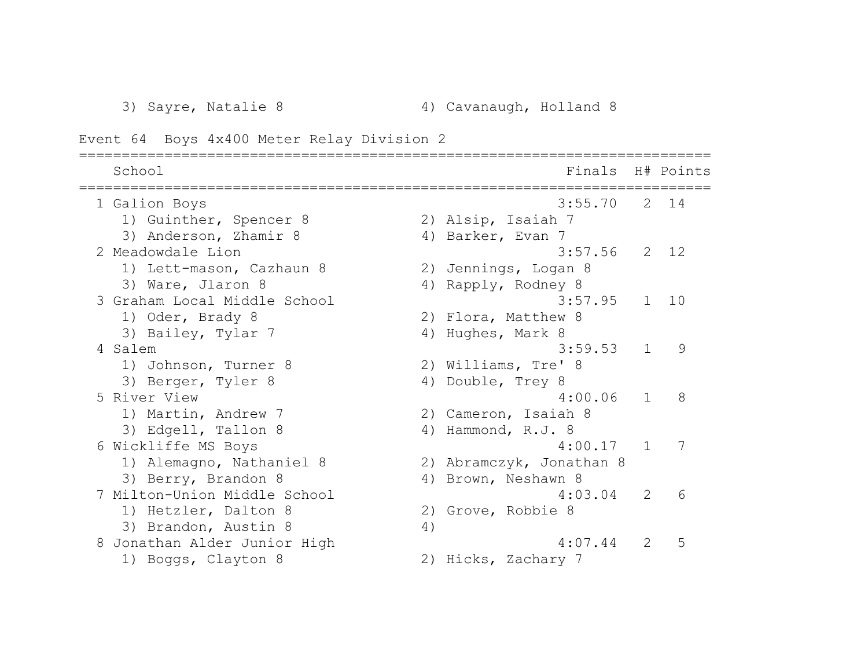==========================================================================

Event 64 Boys 4x400 Meter Relay Division 2

| School                       |    | Finals H# Points         |                  |          |
|------------------------------|----|--------------------------|------------------|----------|
| 1 Galion Boys                |    | 3:55.70                  |                  | $2 \t14$ |
| 1) Guinther, Spencer 8       |    | 2) Alsip, Isaiah 7       |                  |          |
| 3) Anderson, Zhamir 8        |    | 4) Barker, Evan 7        |                  |          |
| 2 Meadowdale Lion            |    | 3:57.56                  |                  | $2 \t12$ |
| 1) Lett-mason, Cazhaun 8     |    | 2) Jennings, Logan 8     |                  |          |
| 3) Ware, Jlaron 8            |    | 4) Rapply, Rodney 8      |                  |          |
| 3 Graham Local Middle School |    | 3:57.95                  | $\mathbf{1}$     | 10       |
| 1) Oder, Brady 8             |    | 2) Flora, Matthew 8      |                  |          |
| 3) Bailey, Tylar 7           |    | 4) Hughes, Mark 8        |                  |          |
| 4 Salem                      |    | 3:59.53                  | $\mathbf{1}$     | 9        |
| 1) Johnson, Turner 8         |    | 2) Williams, Tre' 8      |                  |          |
| 3) Berger, Tyler 8           | 4) | Double, Trey 8           |                  |          |
| 5 River View                 |    | 4:00.06                  | $\mathbf{1}$     | 8        |
| 1) Martin, Andrew 7          |    | 2) Cameron, Isaiah 8     |                  |          |
| 3) Edgell, Tallon 8          |    | 4) Hammond, R.J. 8       |                  |          |
| 6 Wickliffe MS Boys          |    | 4:00.17                  | $\mathbf{1}$     | 7        |
| 1) Alemagno, Nathaniel 8     |    | 2) Abramczyk, Jonathan 8 |                  |          |
| 3) Berry, Brandon 8          |    | 4) Brown, Neshawn 8      |                  |          |
| 7 Milton-Union Middle School |    | 4:03.04                  | 2                | 6        |
| 1) Hetzler, Dalton 8         |    | 2) Grove, Robbie 8       |                  |          |
| 3) Brandon, Austin 8         | 4) |                          |                  |          |
| 8 Jonathan Alder Junior High |    | 4:07.44                  | $\sum_{i=1}^{n}$ | 5        |
| 1) Boggs, Clayton 8          |    | 2) Hicks, Zachary 7      |                  |          |
|                              |    |                          |                  |          |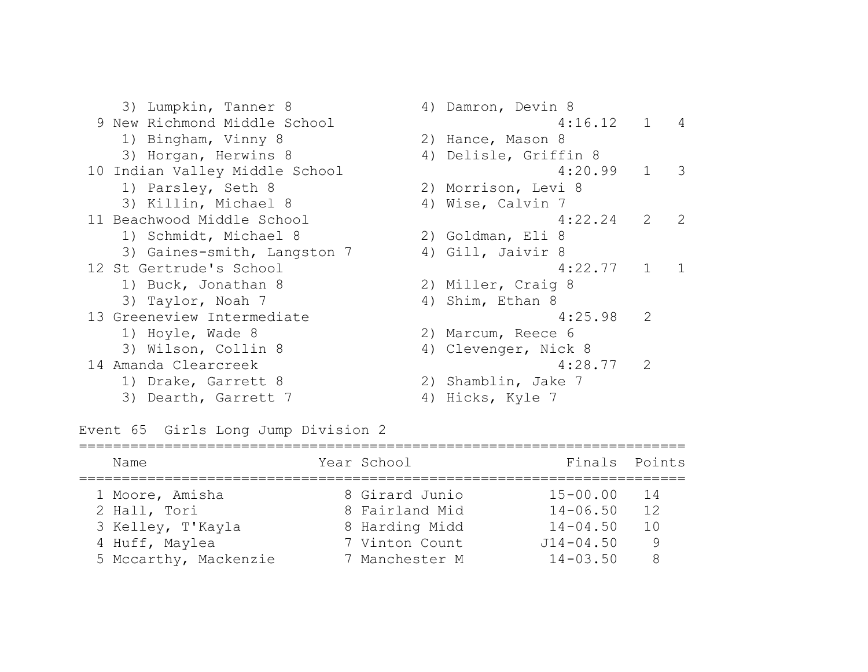3) Lumpkin, Tanner 8 4) Damron, Devin 8 9 New Richmond Middle School 4:16.12 1 4 1) Bingham, Vinny 8 2) Hance, Mason 8 3) Horgan, Herwins 8 4) Delisle, Griffin 8 10 Indian Valley Middle School 4:20.99 1 3 1) Parsley, Seth 8 2) Morrison, Levi 8 3) Killin, Michael 8 4) Wise, Calvin 7 11 Beachwood Middle School 4:22.24 2 2 1) Schmidt, Michael 8 2) Goldman, Eli 8 3) Gaines-smith, Langston 7 (4) Gill, Jaivir 8 12 St Gertrude's School 4:22.77 1 1 1) Buck, Jonathan 8 2) Miller, Craig 8 3) Taylor, Noah 7 4) Shim, Ethan 8 13 Greeneview Intermediate 4:25.98 2 1) Hoyle, Wade 8 2) Marcum, Reece 6 3) Wilson, Collin 8 4) Clevenger, Nick 8 14 Amanda Clearcreek 4:28.77 2 1) Drake, Garrett 8 2) Shamblin, Jake 7

3) Dearth, Garrett 7 (4) Hicks, Kyle 7

Event 65 Girls Long Jump Division 2

| Name                  | Year School    | Finals Points |    |
|-----------------------|----------------|---------------|----|
| 1 Moore, Amisha       | 8 Girard Junio | $15 - 00.00$  | 14 |
| 2 Hall, Tori          | 8 Fairland Mid | $14 - 06.50$  | 12 |
| 3 Kelley, T'Kayla     | 8 Harding Midd | $14 - 04.50$  | 10 |
| 4 Huff, Maylea        | 7 Vinton Count | $J14 - 04.50$ | 9  |
| 5 Mccarthy, Mackenzie | 7 Manchester M | $14 - 03.50$  | 8  |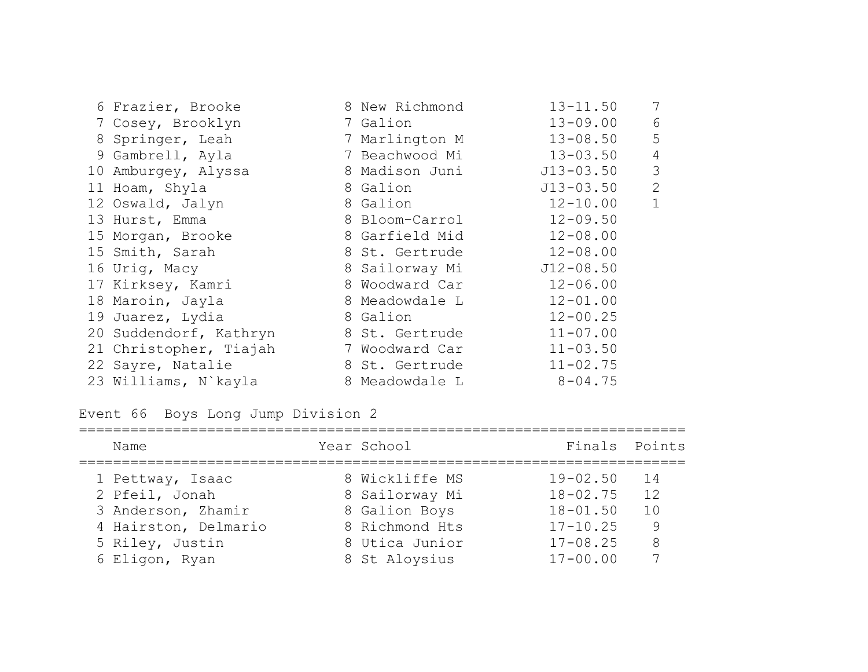| 6 Frazier, Brooke      | 8 New Richmond | $13 - 11.50$  | 7              |
|------------------------|----------------|---------------|----------------|
| 7 Cosey, Brooklyn      | 7 Galion       | $13 - 09.00$  | 6              |
| 8 Springer, Leah       | 7 Marlington M | $13 - 08.50$  | 5              |
| 9 Gambrell, Ayla       | 7 Beachwood Mi | $13 - 03.50$  | $\overline{4}$ |
| 10 Amburgey, Alyssa    | 8 Madison Juni | $J13 - 03.50$ | 3              |
| 11 Hoam, Shyla         | 8 Galion       | $J13 - 03.50$ | 2              |
| 12 Oswald, Jalyn       | 8 Galion       | $12 - 10.00$  | $\mathbf{1}$   |
| 13 Hurst, Emma         | 8 Bloom-Carrol | $12 - 09.50$  |                |
| 15 Morgan, Brooke      | 8 Garfield Mid | $12 - 08.00$  |                |
| 15 Smith, Sarah        | 8 St. Gertrude | $12 - 08.00$  |                |
| 16 Urig, Macy          | 8 Sailorway Mi | $J12 - 08.50$ |                |
| 17 Kirksey, Kamri      | 8 Woodward Car | $12 - 06.00$  |                |
| 18 Maroin, Jayla       | 8 Meadowdale L | $12 - 01.00$  |                |
| 19 Juarez, Lydia       | 8 Galion       | $12 - 00.25$  |                |
| 20 Suddendorf, Kathryn | 8 St. Gertrude | $11 - 07.00$  |                |
| 21 Christopher, Tiajah | 7 Woodward Car | $11 - 03.50$  |                |
| 22 Sayre, Natalie      | 8 St. Gertrude | $11 - 02.75$  |                |
| 23 Williams, N`kayla   | 8 Meadowdale L | $8 - 04.75$   |                |

Event 66 Boys Long Jump Division 2

| Name                 | Year School    | Finals Points |    |
|----------------------|----------------|---------------|----|
| 1 Pettway, Isaac     | 8 Wickliffe MS | $19 - 02.50$  | 14 |
| 2 Pfeil, Jonah       | 8 Sailorway Mi | $18 - 02.75$  | 12 |
| 3 Anderson, Zhamir   | 8 Galion Boys  | $18 - 01.50$  | 10 |
| 4 Hairston, Delmario | 8 Richmond Hts | $17 - 10.25$  | 9  |
| 5 Riley, Justin      | 8 Utica Junior | $17 - 08.25$  | 8  |
| 6 Eligon, Ryan       | 8 St Aloysius  | $17 - 00.00$  |    |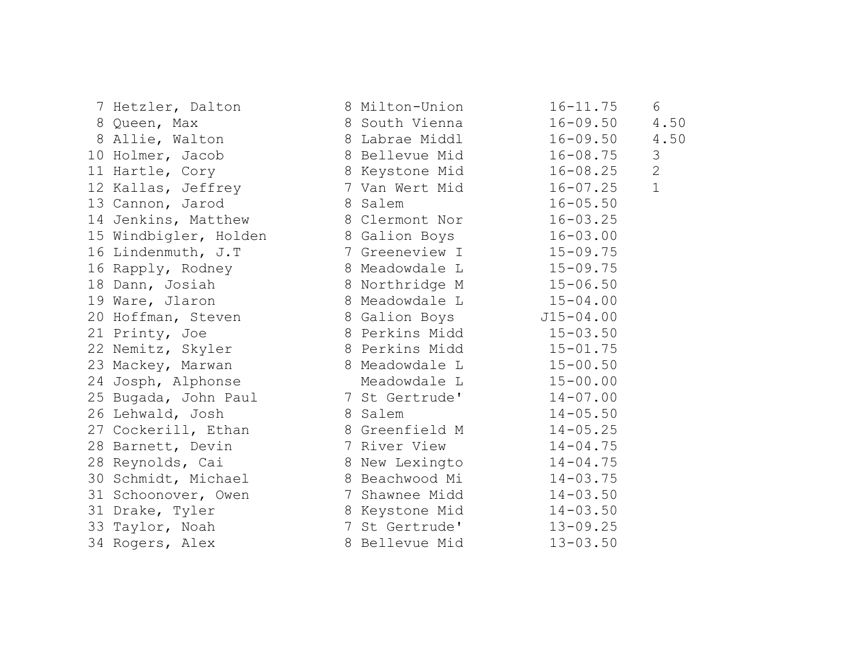| 7 Hetzler, Dalton 8 Milton-Union                                                                                                                       |                         | $16 - 11.75$ | 6             |
|--------------------------------------------------------------------------------------------------------------------------------------------------------|-------------------------|--------------|---------------|
|                                                                                                                                                        |                         |              | 4.50          |
| 8 Queen, Max                            8 South Vienna                16-09.50<br>8 Allie, Walton                 8 Labrae Middl              16-09.50 |                         |              | 4.50          |
| 10 Holmer, Jacob 8 Bellevue Mid 16-08.75                                                                                                               |                         |              | $\mathcal{S}$ |
| 11 Hartle, Cory 8 Keystone Mid                                                                                                                         |                         | $16 - 08.25$ | $\mathbf{2}$  |
| 12 Kallas, Jeffrey 7 Van Wert Mid 16-07.25                                                                                                             |                         |              | $\mathbf{1}$  |
| 13 Cannon, Jarod                                                                                                                                       | 8 Salem 16-05.50        |              |               |
| 14 Jenkins, Matthew 8 Clermont Nor 16-03.25                                                                                                            |                         |              |               |
| 15 Windbigler, Holden 8 Galion Boys 16-03.00                                                                                                           |                         |              |               |
| 16 Lindenmuth, J.T 7 Greeneview I 15-09.75                                                                                                             |                         |              |               |
|                                                                                                                                                        |                         |              |               |
| 16 Rapply, Rodney 8 Meadowdale L 15-09.75<br>18 Dann, Josiah 8 Northridge M 15-06.50                                                                   |                         |              |               |
| 19 Ware, Jlaron 8 Meadowdale L 15-04.00                                                                                                                |                         |              |               |
| 20 Hoffman, Steven 8 Galion Boys 515-04.00                                                                                                             |                         |              |               |
| 21 Printy, Joe 8 Perkins Midd 15-03.50                                                                                                                 |                         |              |               |
| 22 Nemitz, Skyler 8 Perkins Midd 15-01.75                                                                                                              |                         |              |               |
| 23 Mackey, Marwan 8 Meadowdale L 15-00.50                                                                                                              |                         |              |               |
| 24 Josph, Alphonse Meadowdale L 15-00.00                                                                                                               |                         |              |               |
| 25 Bugada, John Paul 7 St Gertrude' 14-07.00                                                                                                           |                         |              |               |
| 26 Lehwald, Josh                                                                                                                                       | 8 Salem 14-05.50        |              |               |
| 27 Cockerill, Ethan 8 Greenfield M 14-05.25                                                                                                            |                         |              |               |
| 28 Barnett, Devin 7 River View 14-04.75                                                                                                                |                         |              |               |
| 28 Reynolds, Cai 8 New Lexingto 14-04.75                                                                                                               |                         |              |               |
| 30 Schmidt, Michael 8 Beachwood Mi 14-03.75                                                                                                            |                         |              |               |
| 31 Schoonover, Owen 7 Shawnee Midd 14-03.50                                                                                                            |                         |              |               |
| 31 Drake, Tyler                                                                                                                                        | 8 Keystone Mid 14-03.50 |              |               |
|                                                                                                                                                        |                         |              |               |
| 33 Taylor, Noah 13-09.25<br>34 Rogers, Alex 13-09.25<br>8 Bellevue Mid 13-03.50                                                                        |                         |              |               |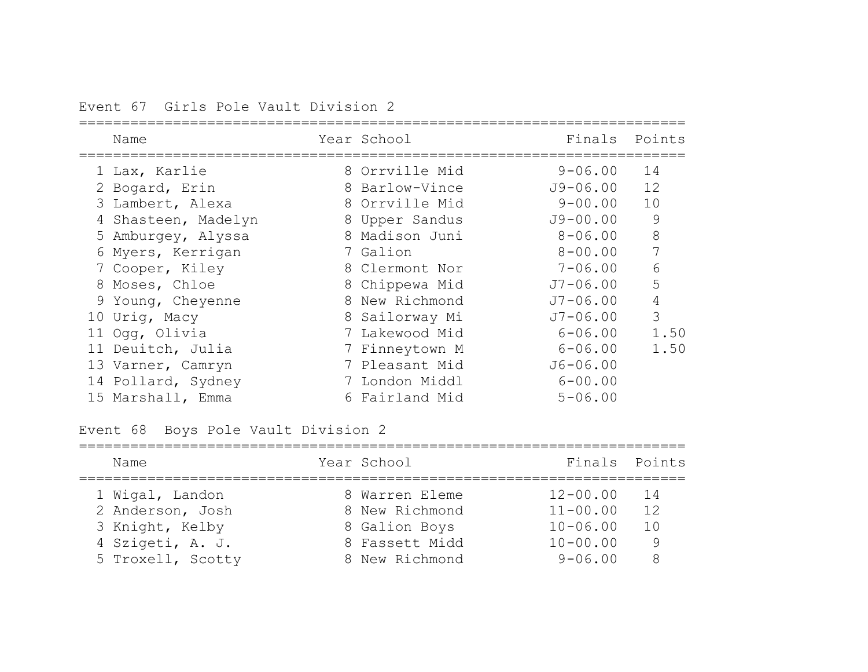Event 67 Girls Pole Vault Division 2

| Name                | Year School    | Finals       | Points |
|---------------------|----------------|--------------|--------|
| 1 Lax, Karlie       | 8 Orrville Mid | $9 - 06.00$  | 14     |
| 2 Bogard, Erin      | 8 Barlow-Vince | J9-06.00     | 12     |
| 3 Lambert, Alexa    | 8 Orrville Mid | $9 - 00.00$  | 10     |
| 4 Shasteen, Madelyn | 8 Upper Sandus | $J9 - 00.00$ | 9      |
| 5 Amburgey, Alyssa  | 8 Madison Juni | $8 - 06.00$  | 8      |
| 6 Myers, Kerrigan   | 7 Galion       | $8 - 00.00$  | 7      |
| 7 Cooper, Kiley     | 8 Clermont Nor | $7 - 06.00$  | 6      |
| 8 Moses, Chloe      | 8 Chippewa Mid | $J7 - 06.00$ | 5      |
| 9 Young, Cheyenne   | 8 New Richmond | $J7 - 06.00$ | 4      |
| 10 Urig, Macy       | 8 Sailorway Mi | $J7 - 06.00$ | 3      |
| 11 Ogg, Olivia      | 7 Lakewood Mid | $6 - 06.00$  | 1.50   |
| 11 Deuitch, Julia   | 7 Finneytown M | $6 - 06.00$  | 1.50   |
| 13 Varner, Camryn   | 7 Pleasant Mid | $J6 - 06.00$ |        |
| 14 Pollard, Sydney  | 7 London Middl | $6 - 00.00$  |        |
| 15 Marshall, Emma   | 6 Fairland Mid | $5 - 06.00$  |        |

# Event 68 Boys Pole Vault Division 2

| Name              | Year School    | Finals Points |     |
|-------------------|----------------|---------------|-----|
| 1 Wigal, Landon   | 8 Warren Eleme | $12 - 00.00$  | 14  |
| 2 Anderson, Josh  | 8 New Richmond | $11 - 00.00$  | 12  |
| 3 Knight, Kelby   | 8 Galion Boys  | $10 - 06.00$  | 1 O |
| 4 Szigeti, A. J.  | 8 Fassett Midd | $10 - 00.00$  | 9   |
| 5 Troxell, Scotty | 8 New Richmond | $9 - 06.00$   | 8   |
|                   |                |               |     |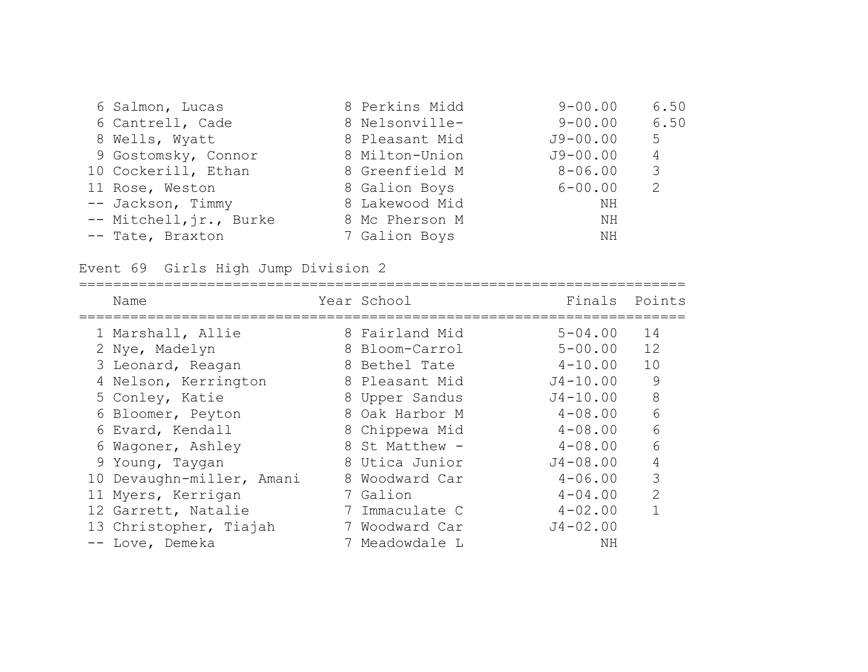| 6 Salmon, Lucas         | 8 Perkins Midd | $9 - 00.00$  | 6.50 |
|-------------------------|----------------|--------------|------|
| 6 Cantrell, Cade        | 8 Nelsonville- | $9 - 00.00$  | 6.50 |
| 8 Wells, Wyatt          | 8 Pleasant Mid | $J9 - 00.00$ | 5    |
| 9 Gostomsky, Connor     | 8 Milton-Union | $J9 - 00.00$ | 4    |
| 10 Cockerill, Ethan     | 8 Greenfield M | $8 - 06.00$  | 3    |
| 11 Rose, Weston         | 8 Galion Boys  | $6 - 00.00$  | 2    |
| -- Jackson, Timmy       | 8 Lakewood Mid | NH           |      |
| -- Mitchell, jr., Burke | 8 Mc Pherson M | NH           |      |
| -- Tate, Braxton        | 7 Galion Boys  | NH           |      |

# Event 69 Girls High Jump Division 2

| Name                      |               | Year School    | Finals       | Points        |
|---------------------------|---------------|----------------|--------------|---------------|
| 1 Marshall, Allie         |               | 8 Fairland Mid | $5 - 04.00$  | 14            |
| 2 Nye, Madelyn            |               | 8 Bloom-Carrol | $5 - 00.00$  | 12            |
| 3 Leonard, Reagan         |               | 8 Bethel Tate  | $4 - 10.00$  | 10            |
| 4 Nelson, Kerrington      |               | 8 Pleasant Mid | $J4 - 10.00$ | 9             |
| 5 Conley, Katie           |               | 8 Upper Sandus | $J4 - 10.00$ | 8             |
| 6 Bloomer, Peyton         |               | 8 Oak Harbor M | $4 - 08.00$  | 6             |
| 6 Evard, Kendall          |               | 8 Chippewa Mid | $4 - 08.00$  | 6             |
| 6 Wagoner, Ashley         |               | 8 St Matthew - | $4 - 08.00$  | 6             |
| 9 Young, Taygan           |               | 8 Utica Junior | $J4 - 08.00$ | 4             |
| 10 Devaughn-miller, Amani |               | 8 Woodward Car | $4 - 06.00$  | 3             |
| 11 Myers, Kerrigan        |               | Galion         | $4 - 04.00$  | $\mathcal{P}$ |
| 12 Garrett, Natalie       |               | 7 Immaculate C | $4 - 02.00$  |               |
| 13 Christopher, Tiajah    | $\frac{1}{2}$ | Woodward Car   | $J4 - 02.00$ |               |
| -- Love, Demeka           |               | 7 Meadowdale L | ΝH           |               |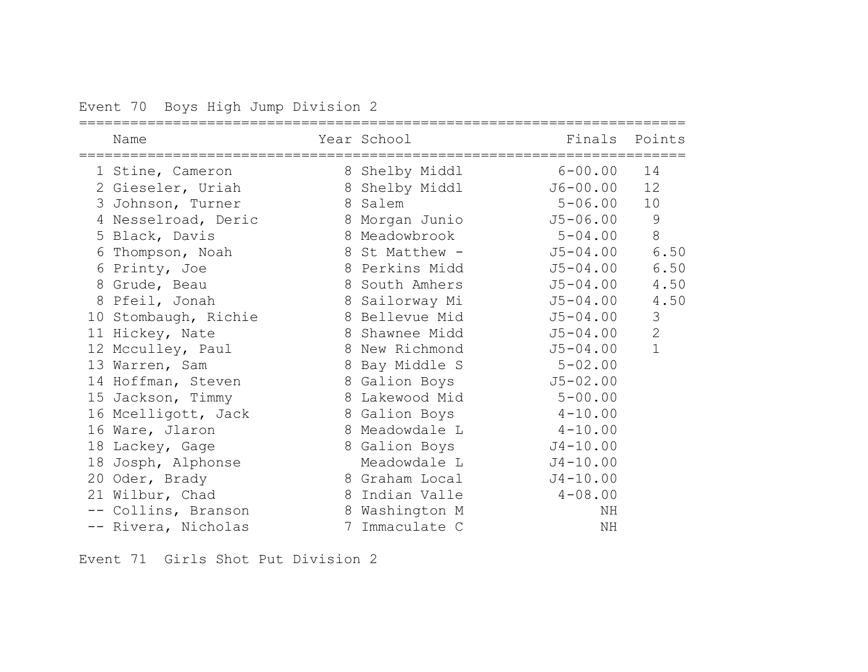Event 70 Boys High Jump Division 2

| Name                 | Year School    | Finals       | Points         |
|----------------------|----------------|--------------|----------------|
| 1 Stine, Cameron     | 8 Shelby Middl | $6 - 00.00$  | 14             |
| 2 Gieseler, Uriah    | 8 Shelby Middl | J6-00.00     | 12             |
| 3 Johnson, Turner    | 8 Salem        | $5 - 06.00$  | 10             |
| 4 Nesselroad, Deric  | 8 Morgan Junio | $J5 - 06.00$ | 9              |
| 5 Black, Davis       | 8 Meadowbrook  | $5 - 04.00$  | $8\,$          |
| 6 Thompson, Noah     | 8 St Matthew - | $J5 - 04.00$ | 6.50           |
| 6 Printy, Joe        | 8 Perkins Midd | $J5 - 04.00$ | 6.50           |
| 8 Grude, Beau        | 8 South Amhers | $J5 - 04.00$ | 4.50           |
| 8 Pfeil, Jonah       | 8 Sailorway Mi | $J5 - 04.00$ | 4.50           |
| 10 Stombaugh, Richie | 8 Bellevue Mid | $J5 - 04.00$ | $\mathfrak{Z}$ |
| 11 Hickey, Nate      | 8 Shawnee Midd | $J5 - 04.00$ | $\overline{2}$ |
| 12 Mcculley, Paul    | 8 New Richmond | $J5 - 04.00$ | $\mathbf 1$    |
| 13 Warren, Sam       | 8 Bay Middle S | $5 - 02.00$  |                |
| 14 Hoffman, Steven   | 8 Galion Boys  | $J5 - 02.00$ |                |
| 15 Jackson, Timmy    | 8 Lakewood Mid | $5 - 00.00$  |                |
| 16 Mcelligott, Jack  | 8 Galion Boys  | $4 - 10.00$  |                |
| 16 Ware, Jlaron      | 8 Meadowdale L | $4 - 10.00$  |                |
| 18 Lackey, Gage      | 8 Galion Boys  | $J4 - 10.00$ |                |
| 18 Josph, Alphonse   | Meadowdale L   | $J4 - 10.00$ |                |
| 20 Oder, Brady       | 8 Graham Local | $J4 - 10.00$ |                |
| 21 Wilbur, Chad      | 8 Indian Valle | $4 - 08.00$  |                |
| -- Collins, Branson  | 8 Washington M | NH           |                |
| -- Rivera, Nicholas  | 7 Immaculate C | NH           |                |

Event 71 Girls Shot Put Division 2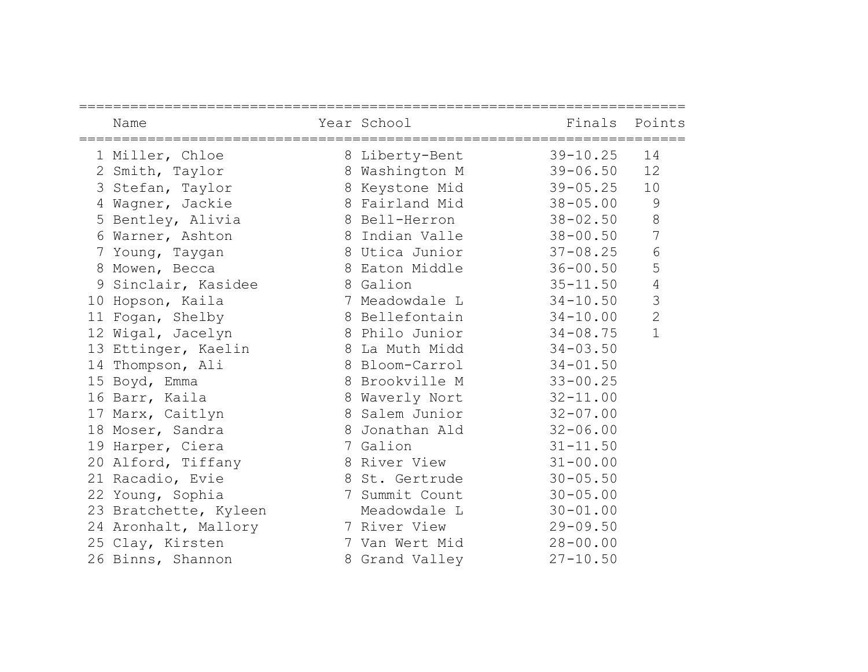|   | Name                  | Year School<br>------------------------------- | Finals Points |                 |
|---|-----------------------|------------------------------------------------|---------------|-----------------|
|   | 1 Miller, Chloe       | 8 Liberty-Bent                                 | $39 - 10.25$  | 14              |
|   | 2 Smith, Taylor       | 8 Washington M                                 | $39 - 06.50$  | 12              |
|   | 3 Stefan, Taylor      | 8 Keystone Mid                                 | $39 - 05.25$  | 10              |
| 4 | Wagner, Jackie        | 8 Fairland Mid                                 | $38 - 05.00$  | $\mathcal{G}$   |
|   | 5 Bentley, Alivia     | 8 Bell-Herron                                  | $38 - 02.50$  | 8               |
|   | 6 Warner, Ashton      | 8 Indian Valle                                 | $38 - 00.50$  | 7               |
| 7 | Young, Taygan         | 8 Utica Junior                                 | $37 - 08.25$  | $6\phantom{.}6$ |
|   | 8 Mowen, Becca        | 8 Eaton Middle                                 | $36 - 00.50$  | 5               |
|   | 9 Sinclair, Kasidee   | 8 Galion                                       | $35 - 11.50$  | $\overline{4}$  |
|   | 10 Hopson, Kaila      | 7 Meadowdale L                                 | $34 - 10.50$  | 3               |
|   | 11 Fogan, Shelby      | 8 Bellefontain                                 | $34 - 10.00$  | $\overline{2}$  |
|   | 12 Wigal, Jacelyn     | 8 Philo Junior                                 | $34 - 08.75$  | $\mathbf{1}$    |
|   | 13 Ettinger, Kaelin   | 8 La Muth Midd                                 | $34 - 03.50$  |                 |
|   | 14 Thompson, Ali      | 8 Bloom-Carrol                                 | $34 - 01.50$  |                 |
|   | 15 Boyd, Emma         | 8 Brookville M                                 | $33 - 00.25$  |                 |
|   | 16 Barr, Kaila        | 8 Waverly Nort                                 | $32 - 11.00$  |                 |
|   | 17 Marx, Caitlyn      | 8 Salem Junior                                 | $32 - 07.00$  |                 |
|   | 18 Moser, Sandra      | 8 Jonathan Ald                                 | $32 - 06.00$  |                 |
|   | 19 Harper, Ciera      | 7 Galion                                       | $31 - 11.50$  |                 |
|   | 20 Alford, Tiffany    | 8 River View                                   | $31 - 00.00$  |                 |
|   | 21 Racadio, Evie      | 8 St. Gertrude                                 | $30 - 05.50$  |                 |
|   | 22 Young, Sophia      | 7 Summit Count                                 | $30 - 05.00$  |                 |
|   | 23 Bratchette, Kyleen | Meadowdale L                                   | $30 - 01.00$  |                 |
|   | 24 Aronhalt, Mallory  | 7 River View                                   | $29 - 09.50$  |                 |
|   | 25 Clay, Kirsten      | 7 Van Wert Mid                                 | $28 - 00.00$  |                 |
|   | 26 Binns, Shannon     | 8 Grand Valley                                 | $27 - 10.50$  |                 |
|   |                       |                                                |               |                 |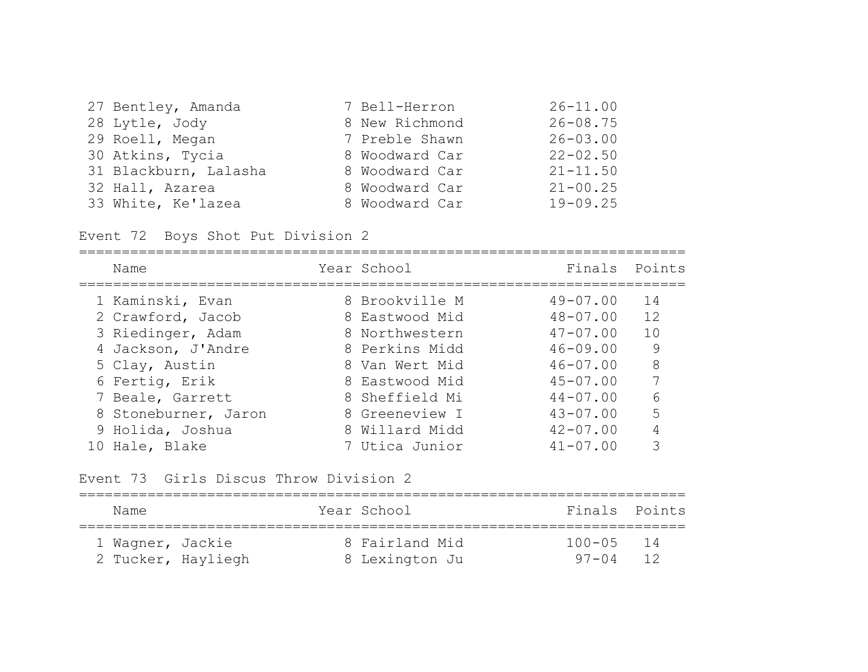| 27 Bentley, Amanda    | 7 Bell-Herron  | $26 - 11.00$ |
|-----------------------|----------------|--------------|
| 28 Lytle, Jody        | 8 New Richmond | $26 - 08.75$ |
| 29 Roell, Megan       | 7 Preble Shawn | $26 - 03.00$ |
| 30 Atkins, Tycia      | 8 Woodward Car | $22 - 02.50$ |
| 31 Blackburn, Lalasha | 8 Woodward Car | $21 - 11.50$ |
| 32 Hall, Azarea       | 8 Woodward Car | $21 - 00.25$ |
| 33 White, Ke'lazea    | 8 Woodward Car | $19 - 09.25$ |

Event 72 Boys Shot Put Division 2

| Name                 | Year School    | Finals Points |    |
|----------------------|----------------|---------------|----|
| 1 Kaminski, Evan     | 8 Brookville M | $49 - 07.00$  | 14 |
| 2 Crawford, Jacob    | 8 Eastwood Mid | $48 - 07.00$  | 12 |
| 3 Riedinger, Adam    | 8 Northwestern | $47 - 07.00$  | 10 |
| 4 Jackson, J'Andre   | 8 Perkins Midd | $46 - 09.00$  | 9  |
| 5 Clay, Austin       | 8 Van Wert Mid | $46 - 07.00$  | 8  |
| 6 Fertig, Erik       | 8 Eastwood Mid | $45 - 07.00$  | 7  |
| 7 Beale, Garrett     | 8 Sheffield Mi | $44 - 07.00$  | 6  |
| 8 Stoneburner, Jaron | 8 Greeneview I | $43 - 07.00$  | 5  |
| 9 Holida, Joshua     | 8 Willard Midd | $42 - 07.00$  |    |
| 10 Hale, Blake       | 7 Utica Junior | $41 - 07.00$  | 3  |

Event 73 Girls Discus Throw Division 2

| Name               |  | Year School    | Finals Points |  |
|--------------------|--|----------------|---------------|--|
| 1 Wagner, Jackie   |  | 8 Fairland Mid | 100-05 14     |  |
| 2 Tucker, Hayliegh |  | 8 Lexington Ju | $97 - 04$ 12  |  |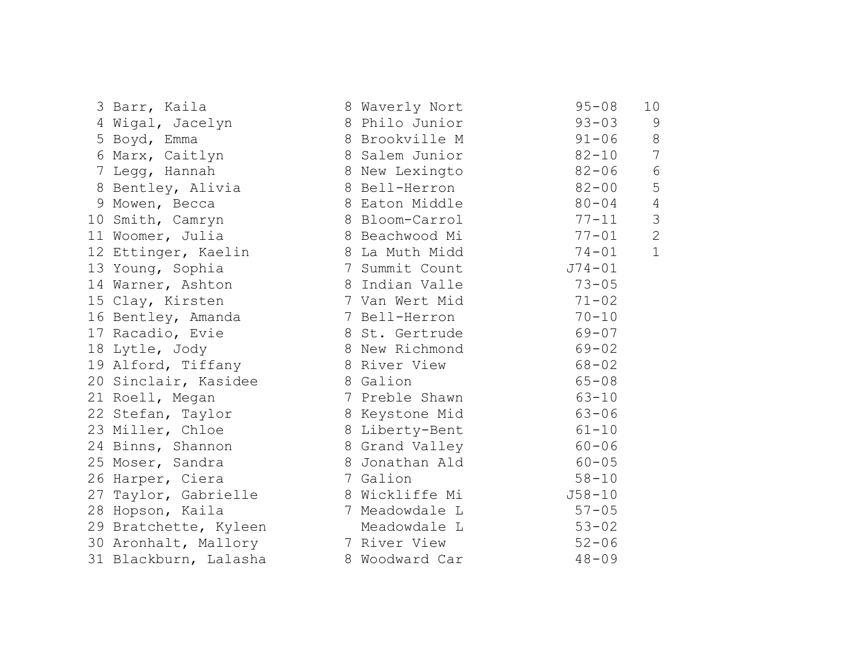| 3 Barr, Kaila         | 8 Waverly Nort | $95 - 08$  | 10 <sub>o</sub> |
|-----------------------|----------------|------------|-----------------|
| 4 Wigal, Jacelyn      | 8 Philo Junior | $93 - 03$  | 9               |
| 5 Boyd, Emma          | 8 Brookville M | $91 - 06$  | $8\,$           |
| 6 Marx, Caitlyn       | 8 Salem Junior | $82 - 10$  | 7               |
| 7 Legg, Hannah        | 8 New Lexingto | 82-06      | $6\,$           |
| 8 Bentley, Alivia     | 8 Bell-Herron  | $82 - 00$  | 5               |
| 9 Mowen, Becca        | 8 Eaton Middle | $80 - 04$  | 4               |
| 10 Smith, Camryn      | 8 Bloom-Carrol | $77 - 11$  | $\mathcal{S}$   |
| 11 Woomer, Julia      | 8 Beachwood Mi | $77 - 01$  | $\overline{2}$  |
| 12 Ettinger, Kaelin   | 8 La Muth Midd | $74 - 01$  | $\mathbf{1}$    |
| 13 Young, Sophia      | 7 Summit Count | $J74 - 01$ |                 |
| 14 Warner, Ashton     | 8 Indian Valle | $73 - 05$  |                 |
| 15 Clay, Kirsten      | 7 Van Wert Mid | $71 - 02$  |                 |
| 16 Bentley, Amanda    | 7 Bell-Herron  | $70 - 10$  |                 |
| 17 Racadio, Evie      | 8 St. Gertrude | $69 - 07$  |                 |
| 18 Lytle, Jody        | 8 New Richmond | $69 - 02$  |                 |
| 19 Alford, Tiffany    | 8 River View   | $68 - 02$  |                 |
| 20 Sinclair, Kasidee  | 8 Galion       | $65 - 08$  |                 |
| 21 Roell, Megan       | 7 Preble Shawn | $63 - 10$  |                 |
| 22 Stefan, Taylor     | 8 Keystone Mid | $63 - 06$  |                 |
| 23 Miller, Chloe      | 8 Liberty-Bent | $61 - 10$  |                 |
| 24 Binns, Shannon     | 8 Grand Valley | $60 - 06$  |                 |
| 25 Moser, Sandra      | 8 Jonathan Ald | $60 - 05$  |                 |
| 26 Harper, Ciera      | 7 Galion       | $58 - 10$  |                 |
| 27 Taylor, Gabrielle  | 8 Wickliffe Mi | $J58 - 10$ |                 |
| 28 Hopson, Kaila      | 7 Meadowdale L | $57 - 05$  |                 |
| 29 Bratchette, Kyleen | Meadowdale L   | $53 - 02$  |                 |
| 30 Aronhalt, Mallory  | 7 River View   | $52 - 06$  |                 |
| 31 Blackburn, Lalasha | 8 Woodward Car | $48 - 09$  |                 |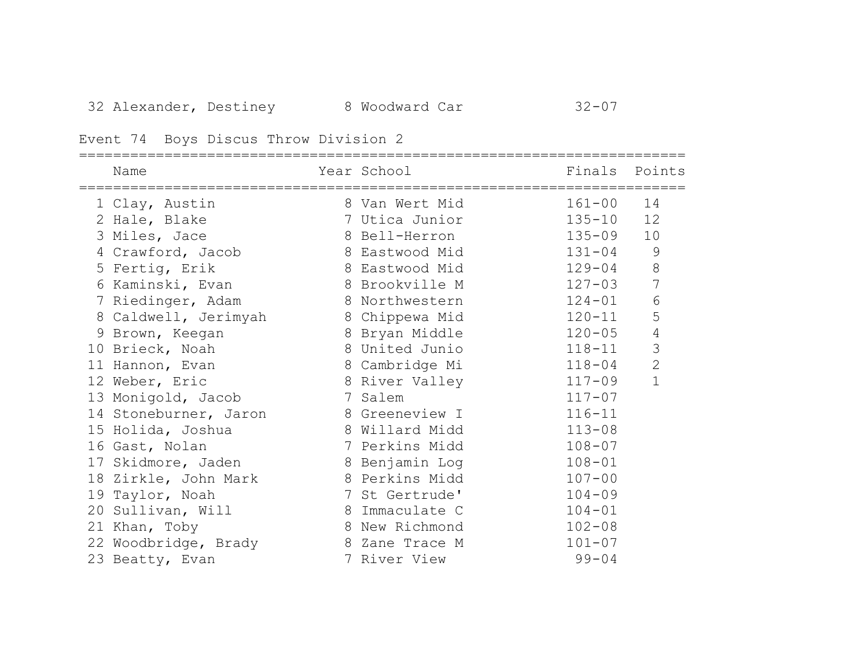# Event 74 Boys Discus Throw Division 2

| Name                  | Year School    | Finals Points |                |
|-----------------------|----------------|---------------|----------------|
| 1 Clay, Austin        | 8 Van Wert Mid | $161 - 00$    | 14             |
| 2 Hale, Blake         | 7 Utica Junior | $135 - 10$    | 12             |
| 3 Miles, Jace         | 8 Bell-Herron  | $135 - 09$    | 10             |
| 4 Crawford, Jacob     | 8 Eastwood Mid | $131 - 04$    | $\mathsf 9$    |
| 5 Fertig, Erik        | 8 Eastwood Mid | $129 - 04$    | $\,8\,$        |
| 6 Kaminski, Evan      | 8 Brookville M | $127 - 03$    | $\overline{7}$ |
| 7 Riedinger, Adam     | 8 Northwestern | $124 - 01$    | $\sqrt{6}$     |
| 8 Caldwell, Jerimyah  | 8 Chippewa Mid | $120 - 11$    | 5              |
| 9 Brown, Keegan       | 8 Bryan Middle | $120 - 05$    | $\sqrt{4}$     |
| 10 Brieck, Noah       | 8 United Junio | $118 - 11$    | 3              |
| 11 Hannon, Evan       | 8 Cambridge Mi | $118 - 04$    | $\overline{2}$ |
| 12 Weber, Eric        | 8 River Valley | $117 - 09$    | $\mathbf 1$    |
| 13 Monigold, Jacob    | 7 Salem        | $117 - 07$    |                |
| 14 Stoneburner, Jaron | 8 Greeneview I | $116 - 11$    |                |
| 15 Holida, Joshua     | 8 Willard Midd | $113 - 08$    |                |
| 16 Gast, Nolan        | 7 Perkins Midd | $108 - 07$    |                |
| 17 Skidmore, Jaden    | 8 Benjamin Log | $108 - 01$    |                |
| 18 Zirkle, John Mark  | 8 Perkins Midd | $107 - 00$    |                |
| 19 Taylor, Noah       | 7 St Gertrude' | $104 - 09$    |                |
| 20 Sullivan, Will     | 8 Immaculate C | $104 - 01$    |                |
| 21 Khan, Toby         | 8 New Richmond | $102 - 08$    |                |
| 22 Woodbridge, Brady  | 8 Zane Trace M | $101 - 07$    |                |
| 23 Beatty, Evan       | 7 River View   | $99 - 04$     |                |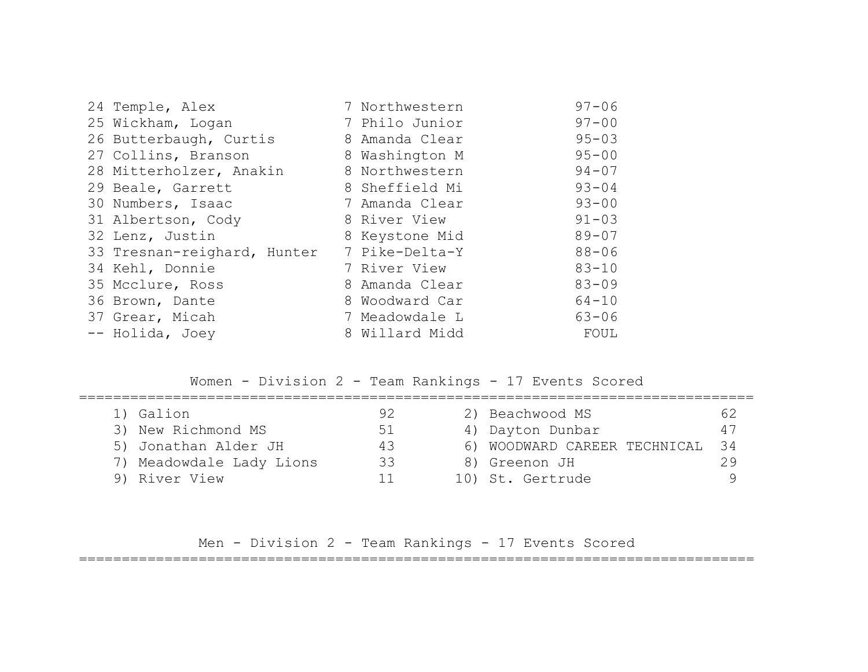| 24 Temple, Alex             | 7 Northwestern | $97 - 06$ |
|-----------------------------|----------------|-----------|
| 25 Wickham, Logan           | 7 Philo Junior | $97 - 00$ |
| 26 Butterbaugh, Curtis      | 8 Amanda Clear | $95 - 03$ |
| 27 Collins, Branson         | 8 Washington M | $95 - 00$ |
| 28 Mitterholzer, Anakin     | 8 Northwestern | $94 - 07$ |
| 29 Beale, Garrett           | 8 Sheffield Mi | $93 - 04$ |
| 30 Numbers, Isaac           | 7 Amanda Clear | $93 - 00$ |
| 31 Albertson, Cody          | 8 River View   | $91 - 03$ |
| 32 Lenz, Justin             | 8 Keystone Mid | $89 - 07$ |
| 33 Tresnan-reighard, Hunter | 7 Pike-Delta-Y | $88 - 06$ |
| 34 Kehl, Donnie             | 7 River View   | $83 - 10$ |
| 35 Mcclure, Ross            | 8 Amanda Clear | $83 - 09$ |
| 36 Brown, Dante             | 8 Woodward Car | $64 - 10$ |
| 37 Grear, Micah             | 7 Meadowdale L | $63 - 06$ |
| -- Holida, Joey             | 8 Willard Midd | FOUL      |

Women - Division 2 - Team Rankings - 17 Events Scored

| 1) Galion                | 92 | 2) Beachwood MS              | 62   |
|--------------------------|----|------------------------------|------|
| 3) New Richmond MS       | 51 | 4) Dayton Dunbar             | 47   |
| 5) Jonathan Alder JH     | 43 | 6) WOODWARD CAREER TECHNICAL | - 34 |
| 7) Meadowdale Lady Lions | 33 | 8) Greenon JH                | 29   |
| 9) River View            |    | 10) St. Gertrude             |      |

Men - Division 2 - Team Rankings - 17 Events Scored

===============================================================================